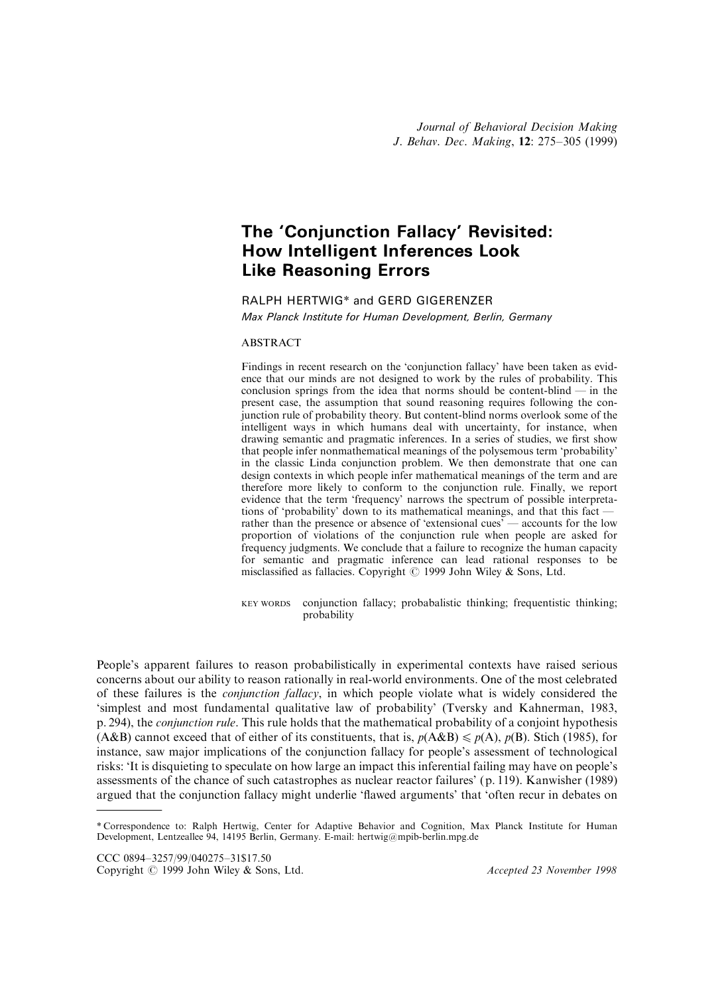# The 'Conjunction Fallacy' Revisited: **How Intelligent Inferences Look Like Reasoning Errors**

RALPH HERTWIG\* and GERD GIGERENZER Max Planck Institute for Human Development, Berlin, Germany

### **ABSTRACT**

Findings in recent research on the 'conjunction fallacy' have been taken as evidence that our minds are not designed to work by the rules of probability. This conclusion springs from the idea that norms should be content-blind  $-$  in the present case, the assumption that sound reasoning requires following the conjunction rule of probability theory. But content-blind norms overlook some of the intelligent ways in which humans deal with uncertainty, for instance, when drawing semantic and pragmatic inferences. In a series of studies, we first show that people infer nonmathematical meanings of the polysemous term 'probability' in the classic Linda conjunction problem. We then demonstrate that one can design contexts in which people infer mathematical meanings of the term and are therefore more likely to conform to the conjunction rule. Finally, we report evidence that the term 'frequency' narrows the spectrum of possible interpretations of 'probability' down to its mathematical meanings, and that this fact rather than the presence or absence of 'extensional cues' — accounts for the low proportion of violations of the conjunction rule when people are asked for frequency judgments. We conclude that a failure to recognize the human capacity for semantic and pragmatic inference can lead rational responses to be misclassified as fallacies. Copyright © 1999 John Wiley & Sons, Ltd.

KEY WORDS conjunction fallacy; probabalistic thinking; frequentistic thinking; probability

People's apparent failures to reason probabilistically in experimental contexts have raised serious concerns about our ability to reason rationally in real-world environments. One of the most celebrated of these failures is the *conjunction fallacy*, in which people violate what is widely considered the 'simplest and most fundamental qualitative law of probability' (Tversky and Kahnerman, 1983, p. 294), the *conjunction rule*. This rule holds that the mathematical probability of a conjoint hypothesis (A&B) cannot exceed that of either of its constituents, that is,  $p(A&B) \leq p(A)$ ,  $p(B)$ . Stich (1985), for instance, saw major implications of the conjunction fallacy for people's assessment of technological risks: 'It is disquieting to speculate on how large an impact this inferential failing may have on people's assessments of the chance of such catastrophes as nuclear reactor failures' (p. 119). Kanwisher (1989) argued that the conjunction fallacy might underlie 'flawed arguments' that 'often recur in debates on

CCC 0894-3257/99/040275-31\$17.50

Copyright © 1999 John Wiley & Sons, Ltd.

<sup>\*</sup>Correspondence to: Ralph Hertwig, Center for Adaptive Behavior and Cognition, Max Planck Institute for Human Development, Lentzeallee 94, 14195 Berlin, Germany. E-mail: hertwig@mpib-berlin.mpg.de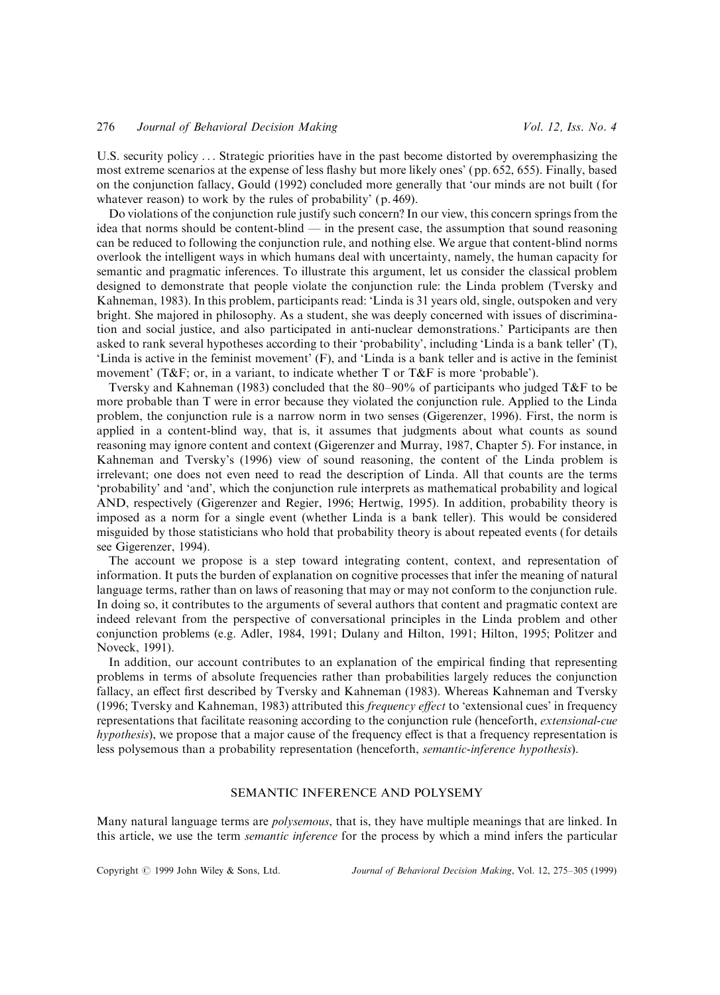U.S. security policy ... Strategic priorities have in the past become distorted by overemphasizing the most extreme scenarios at the expense of less flashy but more likely ones' (pp. 652, 655). Finally, based on the conjunction fallacy, Gould (1992) concluded more generally that 'our minds are not built (for whatever reason) to work by the rules of probability' (p. 469).

Do violations of the conjunction rule justify such concern? In our view, this concern springs from the idea that norms should be content-blind  $\frac{1}{2}$  in the present case, the assumption that sound reasoning can be reduced to following the conjunction rule, and nothing else. We argue that content-blind norms overlook the intelligent ways in which humans deal with uncertainty, namely, the human capacity for semantic and pragmatic inferences. To illustrate this argument, let us consider the classical problem designed to demonstrate that people violate the conjunction rule: the Linda problem (Tversky and Kahneman, 1983). In this problem, participants read: 'Linda is 31 years old, single, outspoken and very bright. She majored in philosophy. As a student, she was deeply concerned with issues of discrimination and social justice, and also participated in anti-nuclear demonstrations.' Participants are then asked to rank several hypotheses according to their 'probability', including 'Linda is a bank teller' (T), 'Linda is active in the feminist movement' (F), and 'Linda is a bank teller and is active in the feminist movement' (T&F; or, in a variant, to indicate whether T or T&F is more 'probable').

Tversky and Kahneman (1983) concluded that the 80–90% of participants who judged T&F to be more probable than T were in error because they violated the conjunction rule. Applied to the Linda problem, the conjunction rule is a narrow norm in two senses (Gigerenzer, 1996). First, the norm is applied in a content-blind way, that is, it assumes that judgments about what counts as sound reasoning may ignore content and context (Gigerenzer and Murray, 1987, Chapter 5). For instance, in Kahneman and Tversky's (1996) view of sound reasoning, the content of the Linda problem is irrelevant; one does not even need to read the description of Linda. All that counts are the terms 'probability' and 'and', which the conjunction rule interprets as mathematical probability and logical AND, respectively (Gigerenzer and Regier, 1996; Hertwig, 1995). In addition, probability theory is imposed as a norm for a single event (whether Linda is a bank teller). This would be considered misguided by those statisticians who hold that probability theory is about repeated events (for details see Gigerenzer, 1994).

The account we propose is a step toward integrating content, context, and representation of information. It puts the burden of explanation on cognitive processes that infer the meaning of natural language terms, rather than on laws of reasoning that may or may not conform to the conjunction rule. In doing so, it contributes to the arguments of several authors that content and pragmatic context are indeed relevant from the perspective of conversational principles in the Linda problem and other conjunction problems (e.g. Adler, 1984, 1991; Dulany and Hilton, 1991; Hilton, 1995; Politzer and Noveck, 1991).

In addition, our account contributes to an explanation of the empirical finding that representing problems in terms of absolute frequencies rather than probabilities largely reduces the conjunction fallacy, an effect first described by Tversky and Kahneman (1983). Whereas Kahneman and Tversky (1996; Tversky and Kahneman, 1983) attributed this *frequency effect* to 'extensional cues' in frequency representations that facilitate reasoning according to the conjunction rule (henceforth, extensional-cue *hypothesis*), we propose that a major cause of the frequency effect is that a frequency representation is less polysemous than a probability representation (henceforth, *semantic-inference hypothesis*).

# SEMANTIC INFERENCE AND POLYSEMY

Many natural language terms are *polysemous*, that is, they have multiple meanings that are linked. In this article, we use the term *semantic inference* for the process by which a mind infers the particular

Copyright © 1999 John Wiley & Sons, Ltd.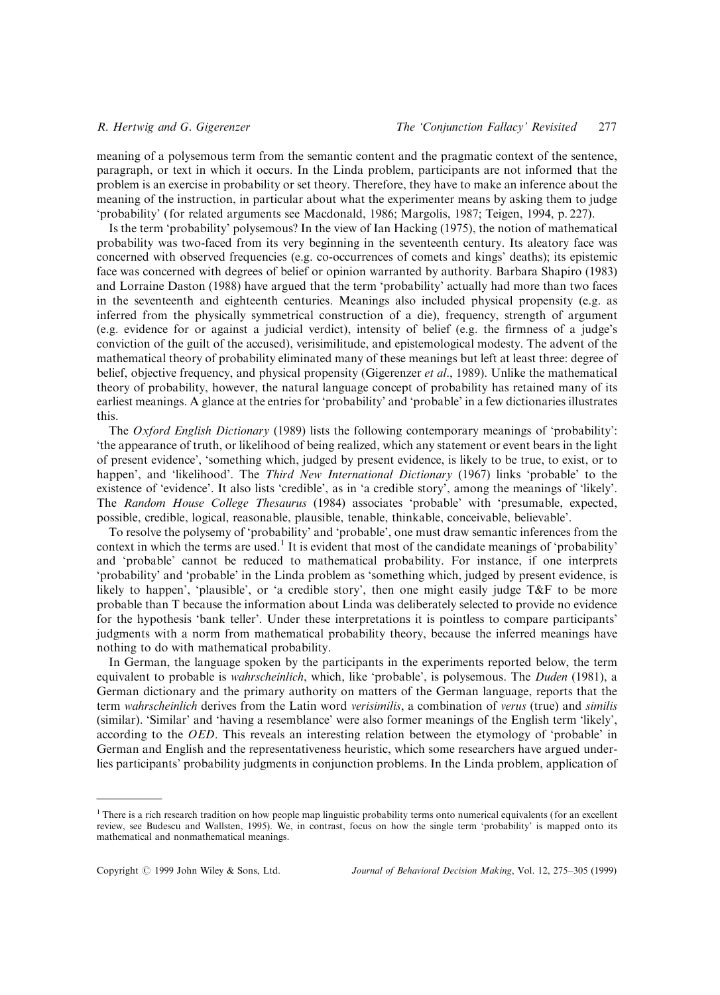#### The 'Conjunction Fallacy' Revisited 277

meaning of a polysemous term from the semantic content and the pragmatic context of the sentence, paragraph, or text in which it occurs. In the Linda problem, participants are not informed that the problem is an exercise in probability or set theory. Therefore, they have to make an inference about the meaning of the instruction, in particular about what the experimenter means by asking them to judge 'probability' (for related arguments see Macdonald, 1986; Margolis, 1987; Teigen, 1994, p. 227).

Is the term 'probability' polysemous? In the view of Ian Hacking (1975), the notion of mathematical probability was two-faced from its very beginning in the seventeenth century. Its aleatory face was concerned with observed frequencies (e.g. co-occurrences of comets and kings' deaths); its epistemic face was concerned with degrees of belief or opinion warranted by authority. Barbara Shapiro (1983) and Lorraine Daston (1988) have argued that the term 'probability' actually had more than two faces in the seventeenth and eighteenth centuries. Meanings also included physical propensity (e.g. as inferred from the physically symmetrical construction of a die), frequency, strength of argument (e.g. evidence for or against a judicial verdict), intensity of belief (e.g. the firmness of a judge's conviction of the guilt of the accused), verisimilitude, and epistemological modesty. The advent of the mathematical theory of probability eliminated many of these meanings but left at least three: degree of belief, objective frequency, and physical propensity (Gigerenzer *et al.*, 1989). Unlike the mathematical theory of probability, however, the natural language concept of probability has retained many of its earliest meanings. A glance at the entries for 'probability' and 'probable' in a few dictionaries illustrates this.

The Oxford English Dictionary (1989) lists the following contemporary meanings of 'probability': the appearance of truth, or likelihood of being realized, which any statement or event bears in the light of present evidence', 'something which, judged by present evidence, is likely to be true, to exist, or to happen', and 'likelihood'. The Third New International Dictionary (1967) links 'probable' to the existence of 'evidence'. It also lists 'credible', as in 'a credible story', among the meanings of 'likely'. The Random House College Thesaurus (1984) associates 'probable' with 'presumable, expected, possible, credible, logical, reasonable, plausible, tenable, thinkable, conceivable, believable'.

To resolve the polysemy of 'probability' and 'probable', one must draw semantic inferences from the context in which the terms are used.<sup>1</sup> It is evident that most of the candidate meanings of 'probability' and 'probable' cannot be reduced to mathematical probability. For instance, if one interprets 'probability' and 'probable' in the Linda problem as 'something which, judged by present evidence, is likely to happen', 'plausible', or 'a credible story', then one might easily judge T&F to be more probable than T because the information about Linda was deliberately selected to provide no evidence for the hypothesis 'bank teller'. Under these interpretations it is pointless to compare participants' judgments with a norm from mathematical probability theory, because the inferred meanings have nothing to do with mathematical probability.

In German, the language spoken by the participants in the experiments reported below, the term equivalent to probable is *wahrscheinlich*, which, like 'probable', is polysemous. The *Duden* (1981), a German dictionary and the primary authority on matters of the German language, reports that the term wahrscheinlich derives from the Latin word verisimilis, a combination of verus (true) and similis (similar). 'Similar' and 'having a resemblance' were also former meanings of the English term 'likely', according to the OED. This reveals an interesting relation between the etymology of 'probable' in German and English and the representativeness heuristic, which some researchers have argued underlies participants' probability judgments in conjunction problems. In the Linda problem, application of

<sup>&</sup>lt;sup>1</sup> There is a rich research tradition on how people map linguistic probability terms onto numerical equivalents (for an excellent review, see Budescu and Wallsten, 1995). We, in contrast, focus on how the single term 'probability' is mapped onto its mathematical and nonmathematical meanings.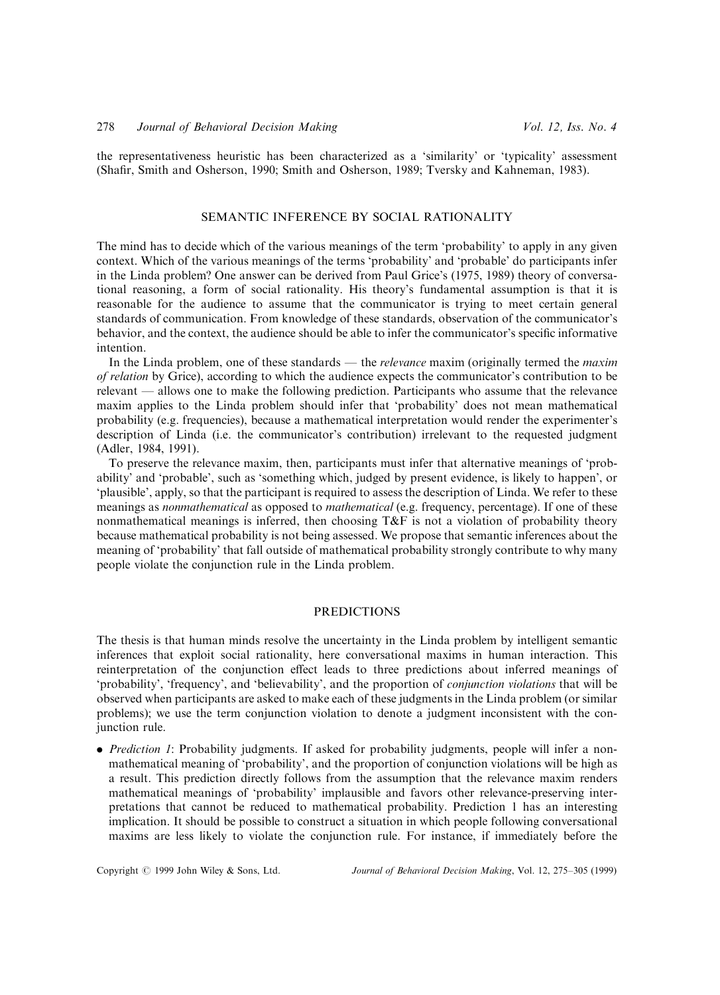the representativeness heuristic has been characterized as a 'similarity' or 'typicality' assessment (Shafir, Smith and Osherson, 1990; Smith and Osherson, 1989; Tversky and Kahneman, 1983).

# SEMANTIC INFERENCE BY SOCIAL RATIONALITY

The mind has to decide which of the various meanings of the term 'probability' to apply in any given context. Which of the various meanings of the terms 'probability' and 'probable' do participants infer in the Linda problem? One answer can be derived from Paul Grice's (1975, 1989) theory of conversational reasoning, a form of social rationality. His theory's fundamental assumption is that it is reasonable for the audience to assume that the communicator is trying to meet certain general standards of communication. From knowledge of these standards, observation of the communicator's behavior, and the context, the audience should be able to infer the communicator's specific informative intention.

In the Linda problem, one of these standards — the *relevance* maxim (originally termed the *maxim* of relation by Grice), according to which the audience expects the communicator's contribution to be relevant — allows one to make the following prediction. Participants who assume that the relevance maxim applies to the Linda problem should infer that 'probability' does not mean mathematical probability (e.g. frequencies), because a mathematical interpretation would render the experimenter's description of Linda (i.e. the communicator's contribution) irrelevant to the requested judgment (Adler, 1984, 1991).

To preserve the relevance maxim, then, participants must infer that alternative meanings of 'probability' and 'probable', such as 'something which, judged by present evidence, is likely to happen', or 'plausible', apply, so that the participant is required to assess the description of Linda. We refer to these meanings as *nonmathematical* as opposed to *mathematical* (e.g. frequency, percentage). If one of these nonmathematical meanings is inferred, then choosing  $T\&F$  is not a violation of probability theory because mathematical probability is not being assessed. We propose that semantic inferences about the meaning of 'probability' that fall outside of mathematical probability strongly contribute to why many people violate the conjunction rule in the Linda problem.

# **PREDICTIONS**

The thesis is that human minds resolve the uncertainty in the Linda problem by intelligent semantic inferences that exploit social rationality, here conversational maxims in human interaction. This reinterpretation of the conjunction effect leads to three predictions about inferred meanings of 'probability', 'frequency', and 'believability', and the proportion of *conjunction violations* that will be observed when participants are asked to make each of these judgments in the Linda problem (or similar problems); we use the term conjunction violation to denote a judgment inconsistent with the conjunction rule.

• Prediction 1: Probability judgments. If asked for probability judgments, people will infer a nonmathematical meaning of 'probability', and the proportion of conjunction violations will be high as a result. This prediction directly follows from the assumption that the relevance maxim renders mathematical meanings of 'probability' implausible and favors other relevance-preserving interpretations that cannot be reduced to mathematical probability. Prediction 1 has an interesting implication. It should be possible to construct a situation in which people following conversational maxims are less likely to violate the conjunction rule. For instance, if immediately before the

Copyright © 1999 John Wiley & Sons, Ltd.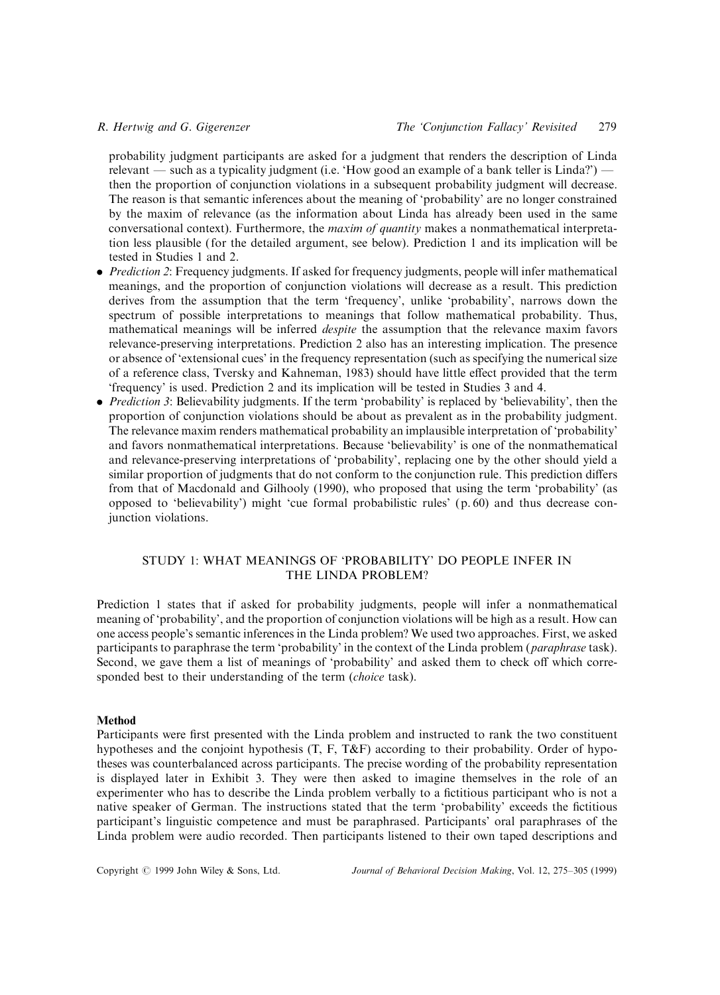probability judgment participants are asked for a judgment that renders the description of Linda relevant — such as a typicality judgment (i.e. 'How good an example of a bank teller is Linda?') – then the proportion of conjunction violations in a subsequent probability judgment will decrease. The reason is that semantic inferences about the meaning of 'probability' are no longer constrained by the maxim of relevance (as the information about Linda has already been used in the same conversational context). Furthermore, the *maxim of quantity* makes a nonmathematical interpretation less plausible (for the detailed argument, see below). Prediction 1 and its implication will be tested in Studies 1 and 2.

- *Prediction 2*: Frequency judgments. If asked for frequency judgments, people will infer mathematical meanings, and the proportion of conjunction violations will decrease as a result. This prediction derives from the assumption that the term 'frequency', unlike 'probability', narrows down the spectrum of possible interpretations to meanings that follow mathematical probability. Thus, mathematical meanings will be inferred *despite* the assumption that the relevance maxim favors relevance-preserving interpretations. Prediction 2 also has an interesting implication. The presence or absence of 'extensional cues' in the frequency representation (such as specifying the numerical size of a reference class, Tversky and Kahneman, 1983) should have little effect provided that the term 'frequency' is used. Prediction 2 and its implication will be tested in Studies 3 and 4.
- Prediction 3: Believability judgments. If the term 'probability' is replaced by 'believability', then the proportion of conjunction violations should be about as prevalent as in the probability judgment. The relevance maxim renders mathematical probability an implausible interpretation of 'probability' and favors nonmathematical interpretations. Because 'believability' is one of the nonmathematical and relevance-preserving interpretations of 'probability', replacing one by the other should yield a similar proportion of judgments that do not conform to the conjunction rule. This prediction differs from that of Macdonald and Gilhooly (1990), who proposed that using the term 'probability' (as opposed to 'believability') might 'cue formal probabilistic rules' (p. 60) and thus decrease conjunction violations.

# STUDY 1: WHAT MEANINGS OF 'PROBABILITY' DO PEOPLE INFER IN THE LINDA PROBLEM?

Prediction 1 states that if asked for probability judgments, people will infer a nonmathematical meaning of 'probability', and the proportion of conjunction violations will be high as a result. How can one access people's semantic inferences in the Linda problem? We used two approaches. First, we asked participants to paraphrase the term 'probability' in the context of the Linda problem (*paraphrase* task). Second, we gave them a list of meanings of 'probability' and asked them to check off which corresponded best to their understanding of the term (choice task).

#### **Method**

Participants were first presented with the Linda problem and instructed to rank the two constituent hypotheses and the conjoint hypothesis (T, F, T&F) according to their probability. Order of hypotheses was counterbalanced across participants. The precise wording of the probability representation is displayed later in Exhibit 3. They were then asked to imagine themselves in the role of an experimenter who has to describe the Linda problem verbally to a fictitious participant who is not a native speaker of German. The instructions stated that the term 'probability' exceeds the fictitious participant's linguistic competence and must be paraphrased. Participants' oral paraphrases of the Linda problem were audio recorded. Then participants listened to their own taped descriptions and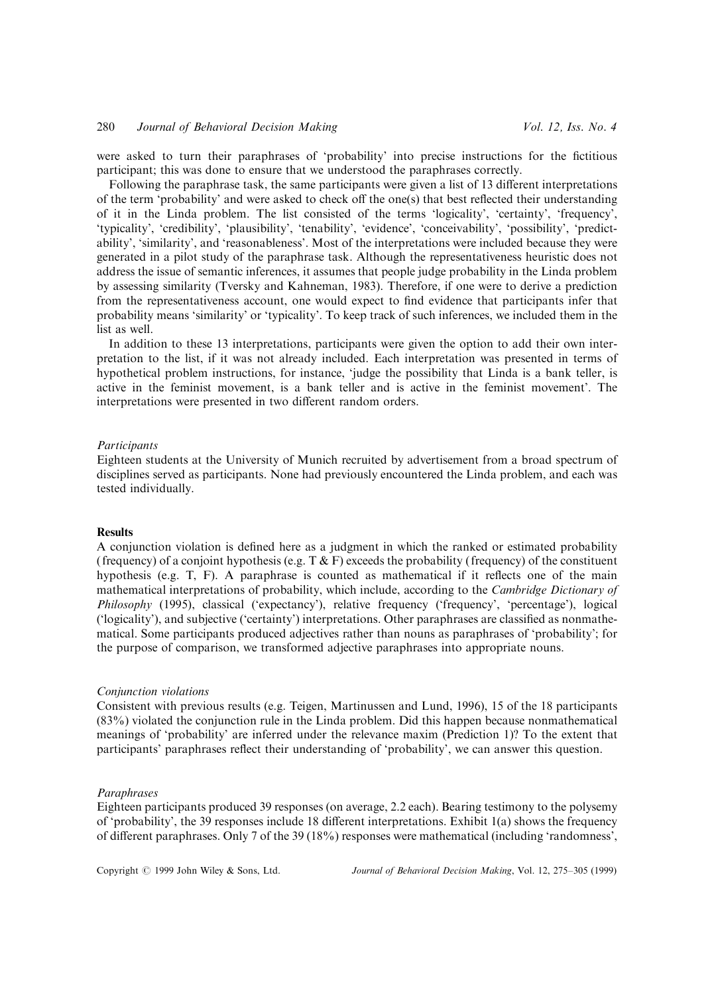were asked to turn their paraphrases of 'probability' into precise instructions for the fictitious participant; this was done to ensure that we understood the paraphrases correctly.

Following the paraphrase task, the same participants were given a list of 13 different interpretations of the term 'probability' and were asked to check off the one(s) that best reflected their understanding of it in the Linda problem. The list consisted of the terms 'logicality', 'certainty', 'frequency', 'typicality', 'credibility', 'plausibility', 'tenability', 'evidence', 'conceivability', 'possibility', 'predictability', 'similarity', and 'reasonableness'. Most of the interpretations were included because they were generated in a pilot study of the paraphrase task. Although the representativeness heuristic does not address the issue of semantic inferences, it assumes that people judge probability in the Linda problem by assessing similarity (Tversky and Kahneman, 1983). Therefore, if one were to derive a prediction from the representativeness account, one would expect to find evidence that participants infer that probability means 'similarity' or 'typicality'. To keep track of such inferences, we included them in the list as well.

In addition to these 13 interpretations, participants were given the option to add their own interpretation to the list, if it was not already included. Each interpretation was presented in terms of hypothetical problem instructions, for instance, 'judge the possibility that Linda is a bank teller, is active in the feminist movement, is a bank teller and is active in the feminist movement'. The interpretations were presented in two different random orders.

# Participants

Eighteen students at the University of Munich recruited by advertisement from a broad spectrum of disciplines served as participants. None had previously encountered the Linda problem, and each was tested individually.

# **Results**

A conjunction violation is defined here as a judgment in which the ranked or estimated probability (frequency) of a conjoint hypothesis (e.g.  $T \& F$ ) exceeds the probability (frequency) of the constituent hypothesis (e.g. T, F). A paraphrase is counted as mathematical if it reflects one of the main mathematical interpretations of probability, which include, according to the Cambridge Dictionary of Philosophy (1995), classical ('expectancy'), relative frequency ('frequency', 'percentage'), logical ('logicality'), and subjective ('certainty') interpretations. Other paraphrases are classified as nonmathematical. Some participants produced adjectives rather than nouns as paraphrases of 'probability'; for the purpose of comparison, we transformed adjective paraphrases into appropriate nouns.

#### Conjunction violations

Consistent with previous results (e.g. Teigen, Martinussen and Lund, 1996), 15 of the 18 participants  $(83%)$  violated the conjunction rule in the Linda problem. Did this happen because nonmathematical meanings of 'probability' are inferred under the relevance maxim (Prediction 1)? To the extent that participants' paraphrases reflect their understanding of 'probability', we can answer this question.

#### Paraphrases

Eighteen participants produced 39 responses (on average, 2.2 each). Bearing testimony to the polysemy of 'probability', the 39 responses include 18 different interpretations. Exhibit 1(a) shows the frequency of different paraphrases. Only 7 of the 39 (18%) responses were mathematical (including 'randomness',

Copyright © 1999 John Wiley & Sons, Ltd.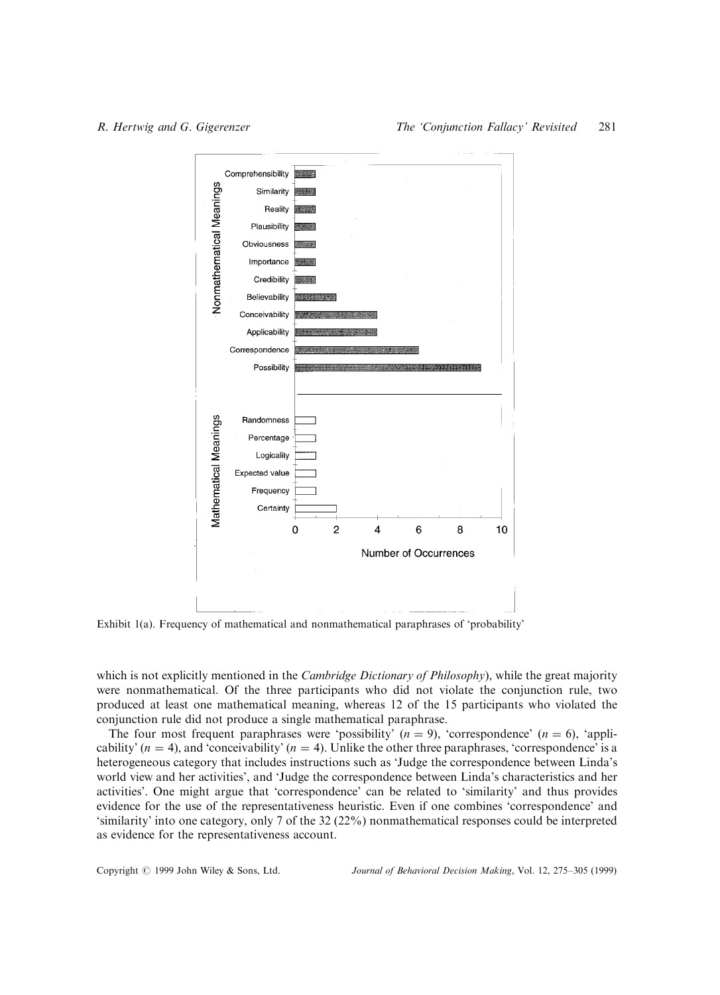

Exhibit 1(a). Frequency of mathematical and nonmathematical paraphrases of 'probability'

which is not explicitly mentioned in the *Cambridge Dictionary of Philosophy*), while the great majority were nonmathematical. Of the three participants who did not violate the conjunction rule, two produced at least one mathematical meaning, whereas 12 of the 15 participants who violated the conjunction rule did not produce a single mathematical paraphrase.

The four most frequent paraphrases were 'possibility'  $(n = 9)$ , 'correspondence'  $(n = 6)$ , 'applicability' ( $n = 4$ ), and 'conceivability' ( $n = 4$ ). Unlike the other three paraphrases, 'correspondence' is a heterogeneous category that includes instructions such as 'Judge the correspondence between Linda's world view and her activities', and 'Judge the correspondence between Linda's characteristics and her activities'. One might argue that 'correspondence' can be related to 'similarity' and thus provides evidence for the use of the representativeness heuristic. Even if one combines 'correspondence' and 'similarity' into one category, only 7 of the 32 (22%) nonmathematical responses could be interpreted as evidence for the representativeness account.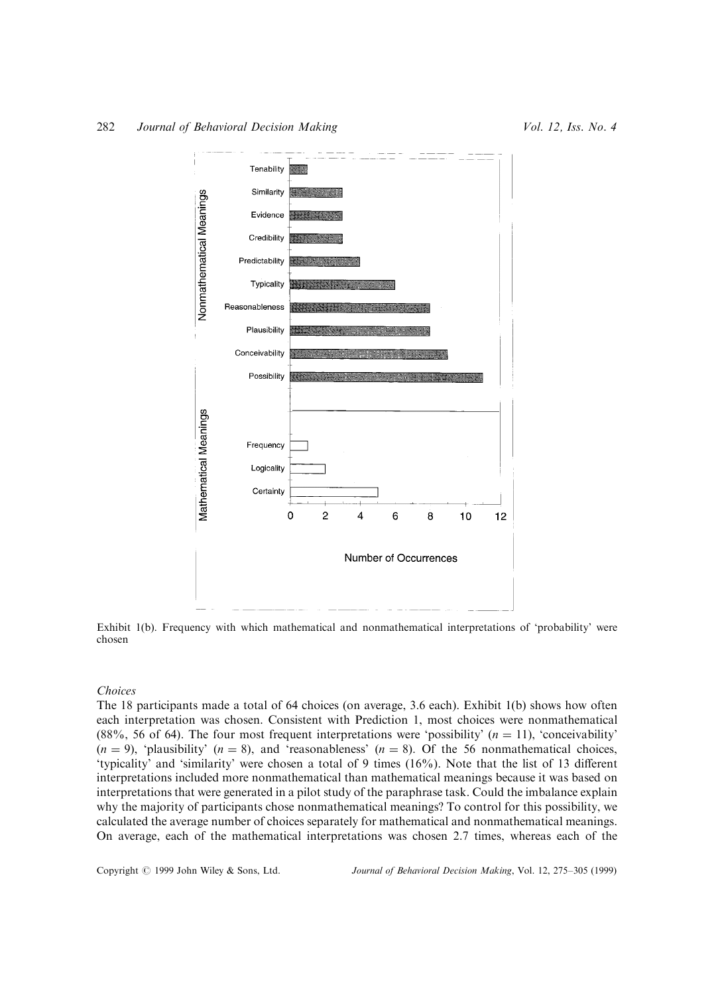

Exhibit 1(b). Frequency with which mathematical and nonmathematical interpretations of 'probability' were chosen

### Choices

The 18 participants made a total of 64 choices (on average, 3.6 each). Exhibit 1(b) shows how often each interpretation was chosen. Consistent with Prediction 1, most choices were nonmathematical (88%, 56 of 64). The four most frequent interpretations were 'possibility'  $(n = 11)$ , 'conceivability'  $(n = 9)$ , 'plausibility'  $(n = 8)$ , and 'reasonableness'  $(n = 8)$ . Of the 56 nonmathematical choices, 'typicality' and 'similarity' were chosen a total of 9 times (16%). Note that the list of 13 different interpretations included more nonmathematical than mathematical meanings because it was based on interpretations that were generated in a pilot study of the paraphrase task. Could the imbalance explain why the majority of participants chose nonmathematical meanings? To control for this possibility, we calculated the average number of choices separately for mathematical and nonmathematical meanings. On average, each of the mathematical interpretations was chosen 2.7 times, whereas each of the

Copyright © 1999 John Wiley & Sons, Ltd.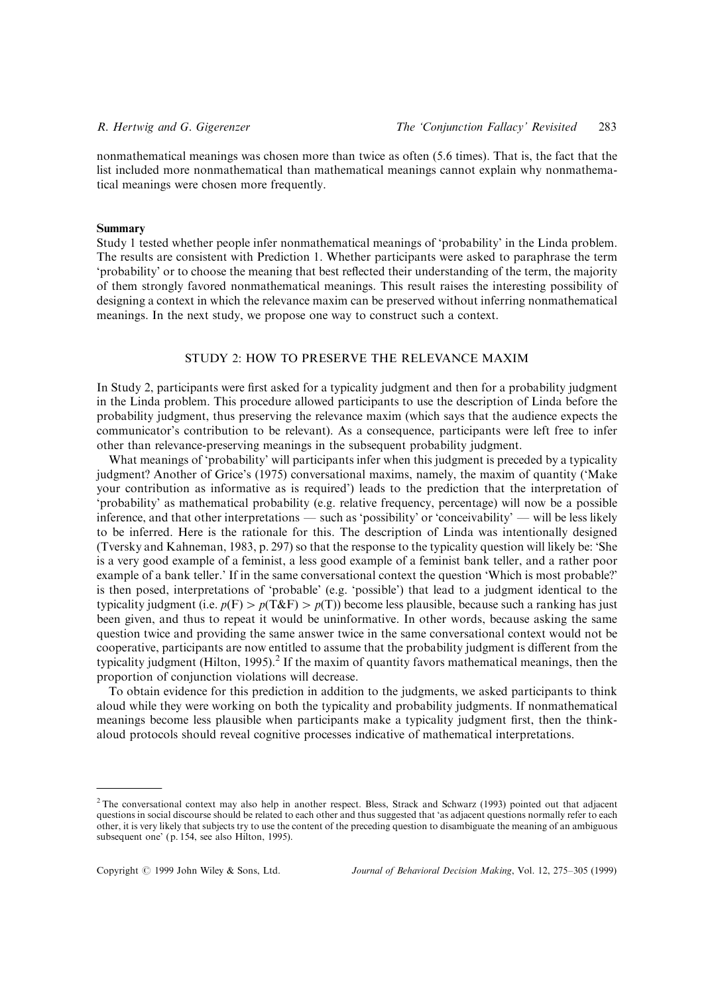nonmathematical meanings was chosen more than twice as often (5.6 times). That is, the fact that the list included more nonmathematical than mathematical meanings cannot explain why nonmathematical meanings were chosen more frequently.

### **Summary**

Study 1 tested whether people infer nonmathematical meanings of 'probability' in the Linda problem. The results are consistent with Prediction 1. Whether participants were asked to paraphrase the term 'probability' or to choose the meaning that best reflected their understanding of the term, the majority of them strongly favored nonmathematical meanings. This result raises the interesting possibility of designing a context in which the relevance maxim can be preserved without inferring nonmathematical meanings. In the next study, we propose one way to construct such a context.

#### STUDY 2: HOW TO PRESERVE THE RELEVANCE MAXIM

In Study 2, participants were first asked for a typicality judgment and then for a probability judgment in the Linda problem. This procedure allowed participants to use the description of Linda before the probability judgment, thus preserving the relevance maxim (which says that the audience expects the communicator's contribution to be relevant). As a consequence, participants were left free to infer other than relevance-preserving meanings in the subsequent probability judgment.

What meanings of 'probability' will participants infer when this judgment is preceded by a typicality judgment? Another of Grice's (1975) conversational maxims, namely, the maxim of quantity ('Make your contribution as informative as is required') leads to the prediction that the interpretation of 'probability' as mathematical probability (e.g. relative frequency, percentage) will now be a possible inference, and that other interpretations — such as 'possibility' or 'conceivability' — will be less likely to be inferred. Here is the rationale for this. The description of Linda was intentionally designed (Tversky and Kahneman, 1983, p. 297) so that the response to the typicality question will likely be: 'She is a very good example of a feminist, a less good example of a feminist bank teller, and a rather poor example of a bank teller.' If in the same conversational context the question 'Which is most probable?' is then posed, interpretations of 'probable' (e.g. 'possible') that lead to a judgment identical to the typicality judgment (i.e.  $p(F) > p(T\&F) > p(T)$ ) become less plausible, because such a ranking has just been given, and thus to repeat it would be uninformative. In other words, because asking the same question twice and providing the same answer twice in the same conversational context would not be cooperative, participants are now entitled to assume that the probability judgment is different from the typicality judgment (Hilton, 1995).<sup>2</sup> If the maxim of quantity favors mathematical meanings, then the proportion of conjunction violations will decrease.

To obtain evidence for this prediction in addition to the judgments, we asked participants to think aloud while they were working on both the typicality and probability judgments. If nonmathematical meanings become less plausible when participants make a typicality judgment first, then the thinkaloud protocols should reveal cognitive processes indicative of mathematical interpretations.

<sup>&</sup>lt;sup>2</sup> The conversational context may also help in another respect. Bless, Strack and Schwarz (1993) pointed out that adjacent questions in social discourse should be related to each other and thus suggested that 'as adjacent questions normally refer to each other, it is very likely that subjects try to use the content of the preceding question to disambiguate the meaning of an ambiguous subsequent one' (p. 154, see also Hilton, 1995).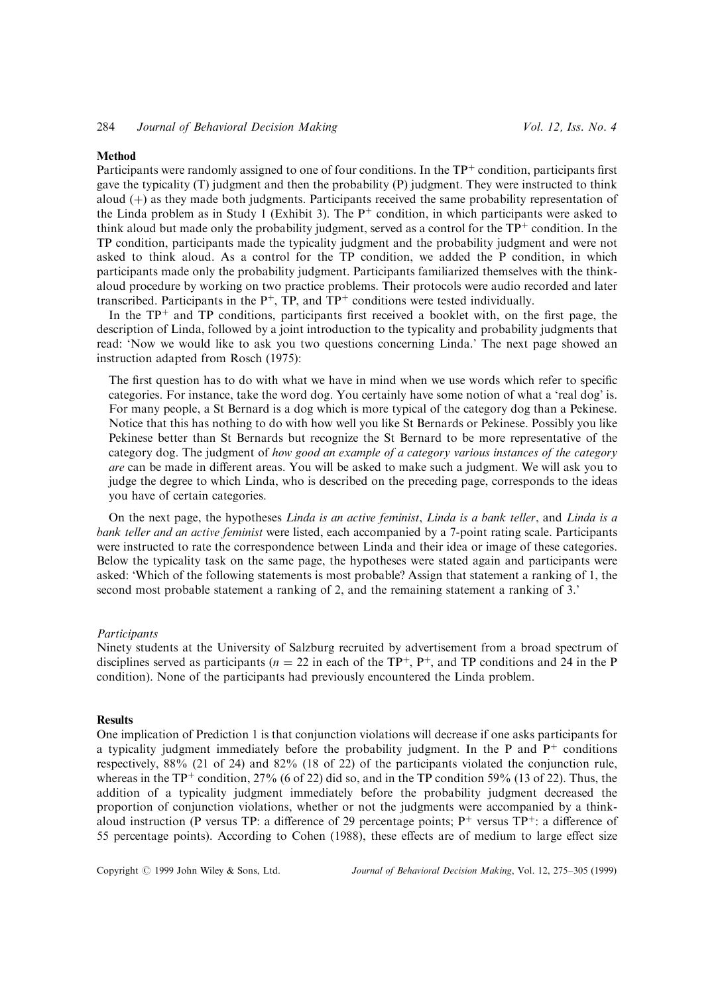#### **Method**

Participants were randomly assigned to one of four conditions. In the TP+ condition, participants first gave the typicality  $(T)$  judgment and then the probability  $(P)$  judgment. They were instructed to think aloud  $(+)$  as they made both judgments. Participants received the same probability representation of the Linda problem as in Study 1 (Exhibit 3). The  $P^+$  condition, in which participants were asked to think aloud but made only the probability judgment, served as a control for the  $TP<sup>+</sup>$  condition. In the TP condition, participants made the typicality judgment and the probability judgment and were not asked to think aloud. As a control for the TP condition, we added the P condition, in which participants made only the probability judgment. Participants familiarized themselves with the thinkaloud procedure by working on two practice problems. Their protocols were audio recorded and later transcribed. Participants in the  $P^+$ , TP, and  $TP^+$  conditions were tested individually.

In the  $TP<sup>+</sup>$  and  $TP$  conditions, participants first received a booklet with, on the first page, the description of Linda, followed by a joint introduction to the typicality and probability judgments that read: 'Now we would like to ask you two questions concerning Linda.' The next page showed an instruction adapted from Rosch (1975):

The first question has to do with what we have in mind when we use words which refer to specific categories. For instance, take the word dog. You certainly have some notion of what a 'real dog' is. For many people, a St Bernard is a dog which is more typical of the category dog than a Pekinese. Notice that this has nothing to do with how well you like St Bernards or Pekinese. Possibly you like Pekinese better than St Bernards but recognize the St Bernard to be more representative of the category dog. The judgment of how good an example of a category various instances of the category are can be made in different areas. You will be asked to make such a judgment. We will ask you to judge the degree to which Linda, who is described on the preceding page, corresponds to the ideas you have of certain categories.

On the next page, the hypotheses Linda is an active feminist, Linda is a bank teller, and Linda is a bank teller and an active feminist were listed, each accompanied by a 7-point rating scale. Participants were instructed to rate the correspondence between Linda and their idea or image of these categories. Below the typicality task on the same page, the hypotheses were stated again and participants were asked: 'Which of the following statements is most probable? Assign that statement a ranking of 1, the second most probable statement a ranking of 2, and the remaining statement a ranking of 3.

#### Participants

Ninety students at the University of Salzburg recruited by advertisement from a broad spectrum of disciplines served as participants ( $n = 22$  in each of the TP<sup>+</sup>, P<sup>+</sup>, and TP conditions and 24 in the P condition). None of the participants had previously encountered the Linda problem.

#### **Results**

One implication of Prediction 1 is that conjunction violations will decrease if one asks participants for a typicality judgment immediately before the probability judgment. In the P and  $P^+$  conditions respectively, 88% (21 of 24) and 82% (18 of 22) of the participants violated the conjunction rule, whereas in the TP<sup>+</sup> condition, 27% (6 of 22) did so, and in the TP condition 59% (13 of 22). Thus, the addition of a typicality judgment immediately before the probability judgment decreased the proportion of conjunction violations, whether or not the judgments were accompanied by a thinkaloud instruction (P versus TP: a difference of 29 percentage points;  $P^+$  versus  $TP^+$ : a difference of 55 percentage points). According to Cohen (1988), these effects are of medium to large effect size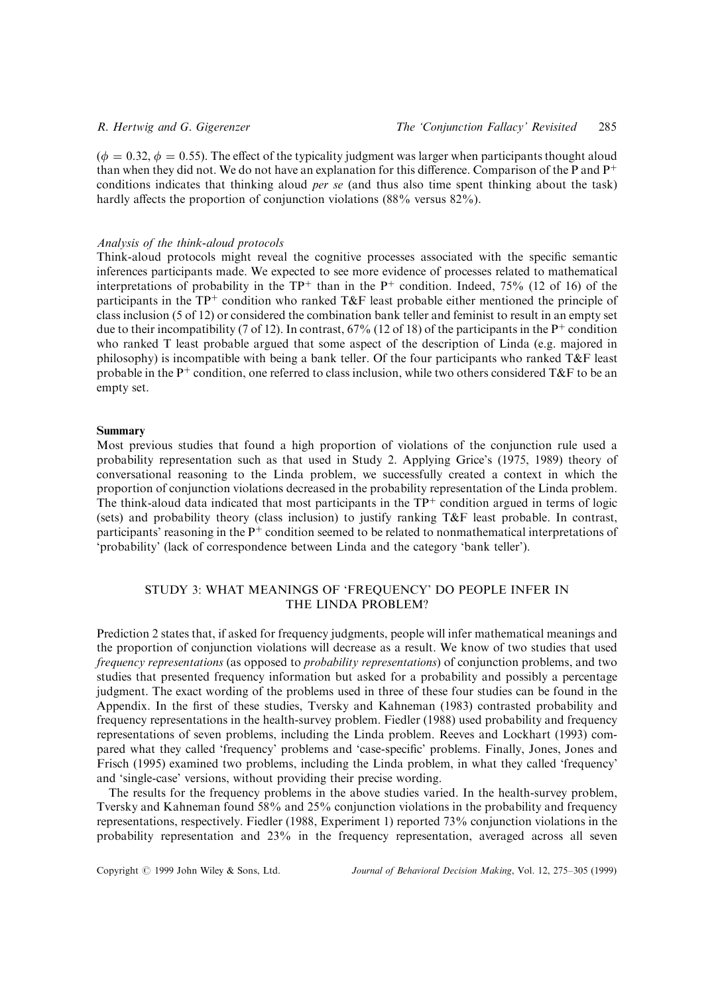$(\phi = 0.32, \phi = 0.55)$ . The effect of the typicality judgment was larger when participants thought aloud than when they did not. We do not have an explanation for this difference. Comparison of the P and  $P^+$ conditions indicates that thinking aloud *per se* (and thus also time spent thinking about the task) hardly affects the proportion of conjunction violations (88% versus 82%).

#### Analysis of the think-aloud protocols

Think-aloud protocols might reveal the cognitive processes associated with the specific semantic inferences participants made. We expected to see more evidence of processes related to mathematical interpretations of probability in the  $TP^+$  than in the  $P^+$  condition. Indeed, 75% (12 of 16) of the participants in the TP+ condition who ranked T&F least probable either mentioned the principle of class inclusion (5 of 12) or considered the combination bank teller and feminist to result in an empty set due to their incompatibility (7 of 12). In contrast, 67% (12 of 18) of the participants in the  $P^+$  condition who ranked T least probable argued that some aspect of the description of Linda (e.g. majored in philosophy) is incompatible with being a bank teller. Of the four participants who ranked  $T\&F$  least probable in the  $P^+$  condition, one referred to class inclusion, while two others considered T&F to be an empty set.

#### **Summary**

Most previous studies that found a high proportion of violations of the conjunction rule used a probability representation such as that used in Study 2. Applying Grice's (1975, 1989) theory of conversational reasoning to the Linda problem, we successfully created a context in which the proportion of conjunction violations decreased in the probability representation of the Linda problem. The think-aloud data indicated that most participants in the  $TP<sup>+</sup>$  condition argued in terms of logic (sets) and probability theory (class inclusion) to justify ranking T&F least probable. In contrast, participants' reasoning in the  $P<sup>+</sup>$  condition seemed to be related to nonmathematical interpretations of 'probability' (lack of correspondence between Linda and the category 'bank teller').

# STUDY 3: WHAT MEANINGS OF 'FREQUENCY' DO PEOPLE INFER IN THE LINDA PROBLEM?

Prediction 2 states that, if asked for frequency judgments, people will infer mathematical meanings and the proportion of conjunction violations will decrease as a result. We know of two studies that used frequency representations (as opposed to probability representations) of conjunction problems, and two studies that presented frequency information but asked for a probability and possibly a percentage judgment. The exact wording of the problems used in three of these four studies can be found in the Appendix. In the first of these studies, Tversky and Kahneman (1983) contrasted probability and frequency representations in the health-survey problem. Fiedler (1988) used probability and frequency representations of seven problems, including the Linda problem. Reeves and Lockhart (1993) compared what they called 'frequency' problems and 'case-specific' problems. Finally, Jones, Jones and Frisch (1995) examined two problems, including the Linda problem, in what they called 'frequency' and 'single-case' versions, without providing their precise wording.

The results for the frequency problems in the above studies varied. In the health-survey problem, Tversky and Kahneman found 58% and 25% conjunction violations in the probability and frequency representations, respectively. Fiedler (1988, Experiment 1) reported 73% conjunction violations in the probability representation and 23% in the frequency representation, averaged across all seven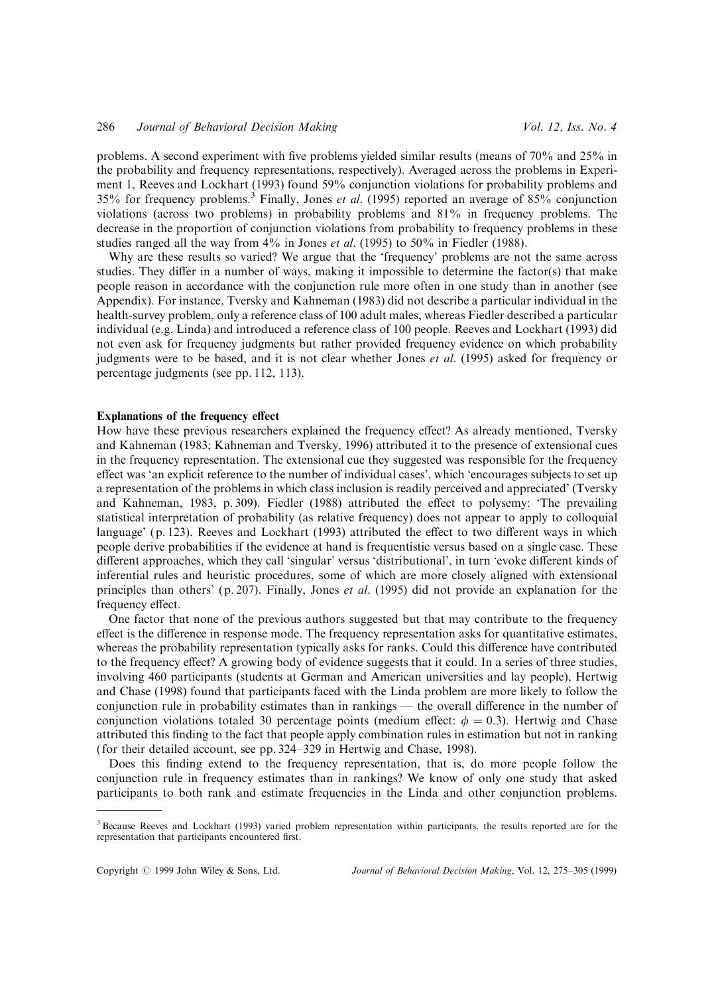problems. A second experiment with five problems yielded similar results (means of 70% and 25% in the probability and frequency representations, respectively). Averaged across the problems in Experiment 1, Reeves and Lockhart (1993) found 59% conjunction violations for probability problems and 35% for frequency problems.<sup>3</sup> Finally, Jones et al. (1995) reported an average of 85% conjunction violations (across two problems) in probability problems and 81% in frequency problems. The decrease in the proportion of conjunction violations from probability to frequency problems in these studies ranged all the way from  $4\%$  in Jones *et al.* (1995) to 50% in Fiedler (1988).

Why are these results so varied? We argue that the 'frequency' problems are not the same across studies. They differ in a number of ways, making it impossible to determine the factor(s) that make people reason in accordance with the conjunction rule more often in one study than in another (see Appendix). For instance, Tversky and Kahneman (1983) did not describe a particular individual in the health-survey problem, only a reference class of 100 adult males, whereas Fiedler described a particular individual (e.g. Linda) and introduced a reference class of 100 people. Reeves and Lockhart (1993) did not even ask for frequency judgments but rather provided frequency evidence on which probability judgments were to be based, and it is not clear whether Jones et al. (1995) asked for frequency or percentage judgments (see pp. 112, 113).

#### **Explanations of the frequency effect**

How have these previous researchers explained the frequency effect? As already mentioned, Tversky and Kahneman (1983; Kahneman and Tversky, 1996) attributed it to the presence of extensional cues in the frequency representation. The extensional cue they suggested was responsible for the frequency effect was 'an explicit reference to the number of individual cases', which 'encourages subjects to set up a representation of the problems in which class inclusion is readily perceived and appreciated' (Tversky and Kahneman, 1983, p. 309). Fiedler (1988) attributed the effect to polysemy: 'The prevailing statistical interpretation of probability (as relative frequency) does not appear to apply to colloquial language' (p. 123). Reeves and Lockhart (1993) attributed the effect to two different ways in which people derive probabilities if the evidence at hand is frequentistic versus based on a single case. These different approaches, which they call 'singular' versus 'distributional', in turn 'evoke different kinds of inferential rules and heuristic procedures, some of which are more closely aligned with extensional principles than others' (p. 207). Finally, Jones *et al.* (1995) did not provide an explanation for the frequency effect.

One factor that none of the previous authors suggested but that may contribute to the frequency effect is the difference in response mode. The frequency representation asks for quantitative estimates, whereas the probability representation typically asks for ranks. Could this difference have contributed to the frequency effect? A growing body of evidence suggests that it could. In a series of three studies, involving 460 participants (students at German and American universities and lay people), Hertwig and Chase (1998) found that participants faced with the Linda problem are more likely to follow the conjunction rule in probability estimates than in rankings — the overall difference in the number of conjunction violations totaled 30 percentage points (medium effect:  $\phi = 0.3$ ). Hertwig and Chase attributed this finding to the fact that people apply combination rules in estimation but not in ranking (for their detailed account, see pp. 324–329 in Hertwig and Chase, 1998).

Does this finding extend to the frequency representation, that is, do more people follow the conjunction rule in frequency estimates than in rankings? We know of only one study that asked participants to both rank and estimate frequencies in the Linda and other conjunction problems.

Copyright © 1999 John Wiley & Sons, Ltd.

<sup>&</sup>lt;sup>3</sup> Because Reeves and Lockhart (1993) varied problem representation within participants, the results reported are for the representation that participants encountered first.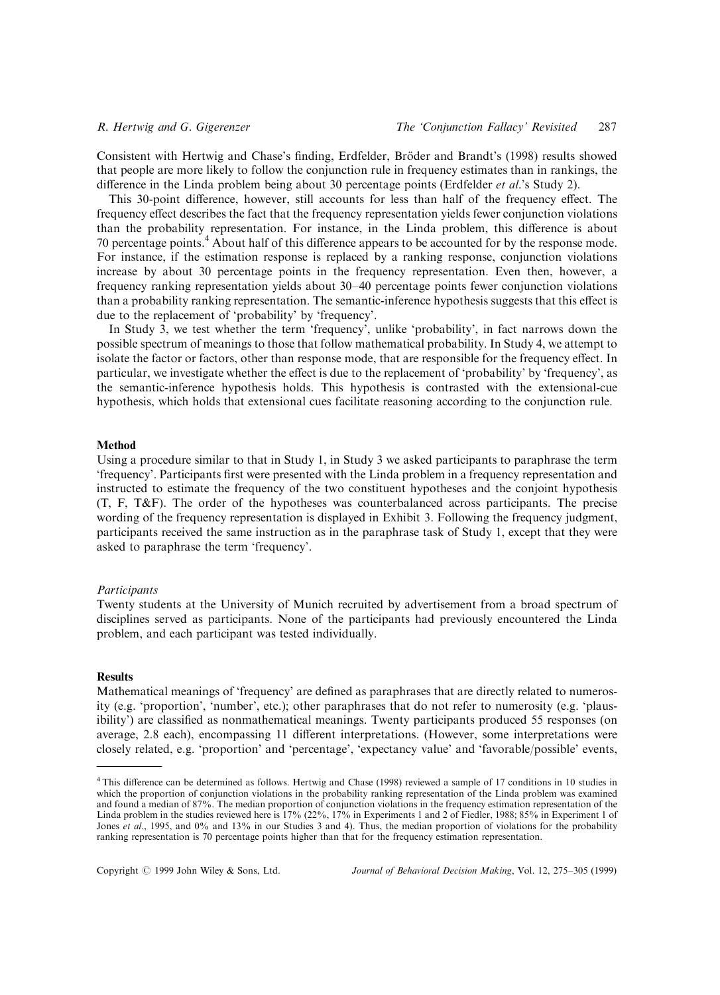Consistent with Hertwig and Chase's finding, Erdfelder, Bröder and Brandt's (1998) results showed that people are more likely to follow the conjunction rule in frequency estimates than in rankings, the difference in the Linda problem being about 30 percentage points (Erdfelder *et al.*'s Study 2).

This 30-point difference, however, still accounts for less than half of the frequency effect. The frequency effect describes the fact that the frequency representation yields fewer conjunction violations than the probability representation. For instance, in the Linda problem, this difference is about 70 percentage points.<sup>4</sup> About half of this difference appears to be accounted for by the response mode. For instance, if the estimation response is replaced by a ranking response, conjunction violations increase by about 30 percentage points in the frequency representation. Even then, however, a frequency ranking representation yields about 30–40 percentage points fewer conjunction violations than a probability ranking representation. The semantic-inference hypothesis suggests that this effect is due to the replacement of 'probability' by 'frequency'.

In Study 3, we test whether the term 'frequency', unlike 'probability', in fact narrows down the possible spectrum of meanings to those that follow mathematical probability. In Study 4, we attempt to isolate the factor or factors, other than response mode, that are responsible for the frequency effect. In particular, we investigate whether the effect is due to the replacement of 'probability' by 'frequency', as the semantic-inference hypothesis holds. This hypothesis is contrasted with the extensional-cue hypothesis, which holds that extensional cues facilitate reasoning according to the conjunction rule.

# **Method**

Using a procedure similar to that in Study 1, in Study 3 we asked participants to paraphrase the term 'frequency'. Participants first were presented with the Linda problem in a frequency representation and instructed to estimate the frequency of the two constituent hypotheses and the conjoint hypothesis  $(T, F, T\&F)$ . The order of the hypotheses was counterbalanced across participants. The precise wording of the frequency representation is displayed in Exhibit 3. Following the frequency judgment, participants received the same instruction as in the paraphrase task of Study 1, except that they were asked to paraphrase the term 'frequency'.

#### Participants

Twenty students at the University of Munich recruited by advertisement from a broad spectrum of disciplines served as participants. None of the participants had previously encountered the Linda problem, and each participant was tested individually.

#### **Results**

Mathematical meanings of 'frequency' are defined as paraphrases that are directly related to numerosity (e.g. 'proportion', 'number', etc.); other paraphrases that do not refer to numerosity (e.g. 'plausibility') are classified as nonmathematical meanings. Twenty participants produced 55 responses (on average, 2.8 each), encompassing 11 different interpretations. (However, some interpretations were closely related, e.g. 'proportion' and 'percentage', 'expectancy value' and 'favorable/possible' events,

 $4$  This difference can be determined as follows. Hertwig and Chase (1998) reviewed a sample of 17 conditions in 10 studies in which the proportion of conjunction violations in the probability ranking representation of the Linda problem was examined and found a median of 87%. The median proportion of conjunction violations in the frequency estimation representation of the Linda problem in the studies reviewed here is 17% (22%, 17% in Experiments 1 and 2 of Fiedler, 1988; 85% in Experiment 1 of Jones et al., 1995, and 0% and 13% in our Studies 3 and 4). Thus, the median proportion of violations for the probability ranking representation is 70 percentage points higher than that for the frequency estimation representation.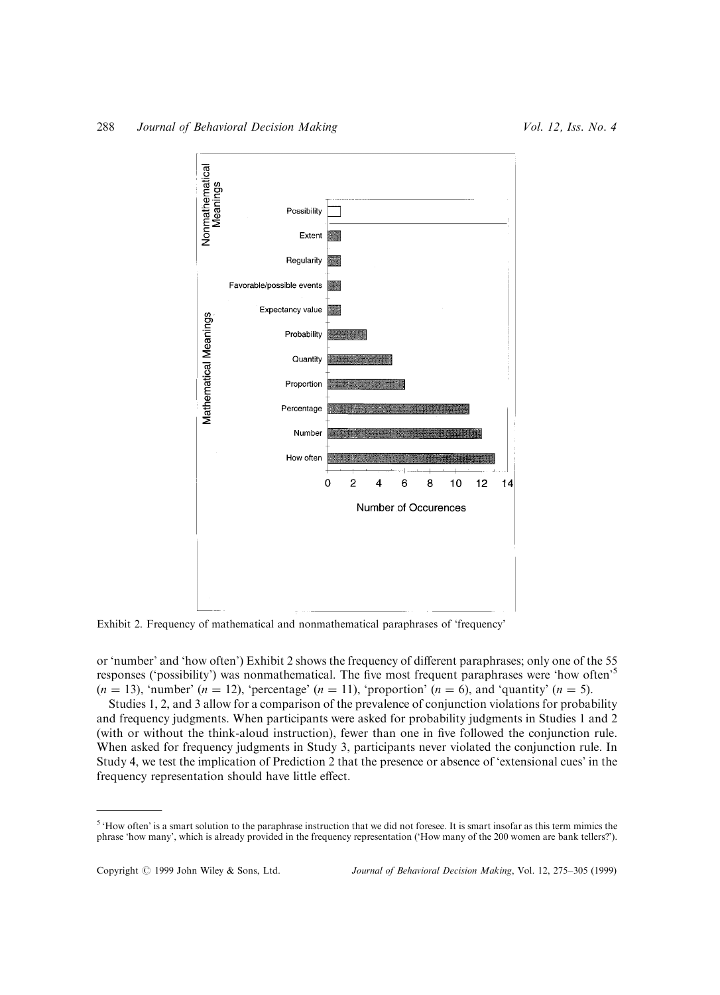

Exhibit 2. Frequency of mathematical and nonmathematical paraphrases of 'frequency'

or 'number' and 'how often') Exhibit 2 shows the frequency of different paraphrases; only one of the 55 responses ('possibility') was nonmathematical. The five most frequent paraphrases were 'how often'<sup>5</sup>  $(n = 13)$ , 'number'  $(n = 12)$ , 'percentage'  $(n = 11)$ , 'proportion'  $(n = 6)$ , and 'quantity'  $(n = 5)$ .

Studies 1, 2, and 3 allow for a comparison of the prevalence of conjunction violations for probability and frequency judgments. When participants were asked for probability judgments in Studies 1 and 2 (with or without the think-aloud instruction), fewer than one in five followed the conjunction rule. When asked for frequency judgments in Study 3, participants never violated the conjunction rule. In Study 4, we test the implication of Prediction 2 that the presence or absence of 'extensional cues' in the frequency representation should have little effect.

Copyright © 1999 John Wiley & Sons, Ltd.

<sup>&</sup>lt;sup>5</sup> 'How often' is a smart solution to the paraphrase instruction that we did not foresee. It is smart insofar as this term mimics the phrase 'how many', which is already provided in the frequency representation ('How many of the 200 women are bank tellers?').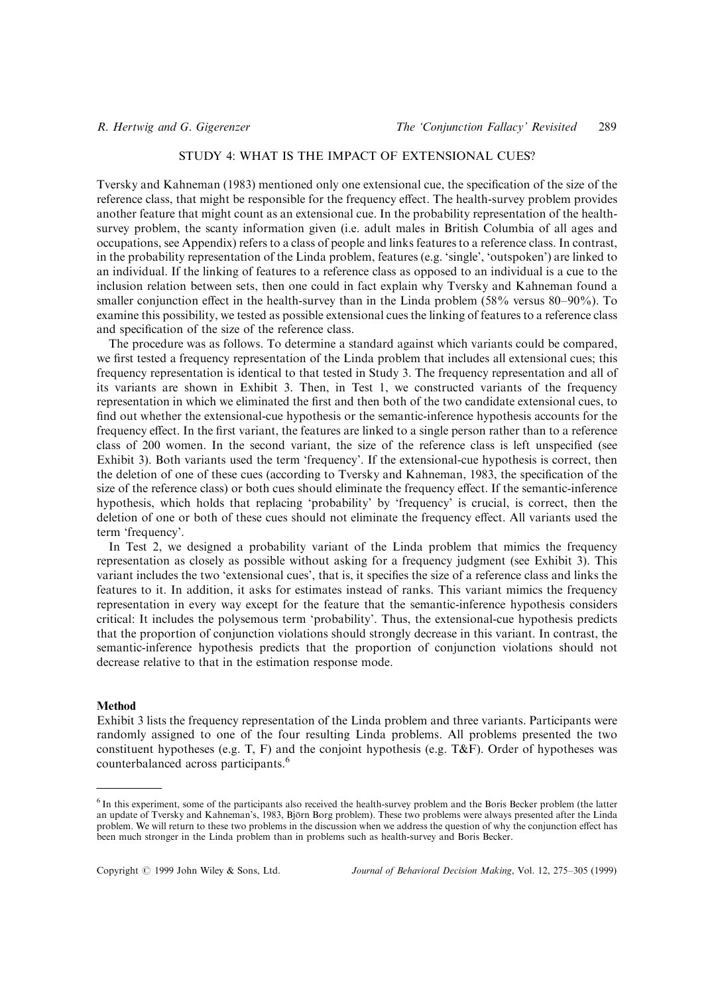# STUDY 4: WHAT IS THE IMPACT OF EXTENSIONAL CUES?

Tversky and Kahneman (1983) mentioned only one extensional cue, the specification of the size of the reference class, that might be responsible for the frequency effect. The health-survey problem provides another feature that might count as an extensional cue. In the probability representation of the healthsurvey problem, the scanty information given (*i.e.* adult males in British Columbia of all ages and occupations, see Appendix) refers to a class of people and links features to a reference class. In contrast, in the probability representation of the Linda problem, features (e.g. 'single', 'outspoken') are linked to an individual. If the linking of features to a reference class as opposed to an individual is a cue to the inclusion relation between sets, then one could in fact explain why Tversky and Kahneman found a smaller conjunction effect in the health-survey than in the Linda problem  $(58\% \text{ versus } 80-90\%)$ . To examine this possibility, we tested as possible extensional cues the linking of features to a reference class and specification of the size of the reference class.

The procedure was as follows. To determine a standard against which variants could be compared, we first tested a frequency representation of the Linda problem that includes all extensional cues; this frequency representation is identical to that tested in Study 3. The frequency representation and all of its variants are shown in Exhibit 3. Then, in Test 1, we constructed variants of the frequency representation in which we eliminated the first and then both of the two candidate extensional cues, to find out whether the extensional-cue hypothesis or the semantic-inference hypothesis accounts for the frequency effect. In the first variant, the features are linked to a single person rather than to a reference class of 200 women. In the second variant, the size of the reference class is left unspecified (see Exhibit 3). Both variants used the term 'frequency'. If the extensional-cue hypothesis is correct, then the deletion of one of these cues (according to Tversky and Kahneman, 1983, the specification of the size of the reference class) or both cues should eliminate the frequency effect. If the semantic-inference hypothesis, which holds that replacing 'probability' by 'frequency' is crucial, is correct, then the deletion of one or both of these cues should not eliminate the frequency effect. All variants used the term 'frequency'.

In Test 2, we designed a probability variant of the Linda problem that mimics the frequency representation as closely as possible without asking for a frequency judgment (see Exhibit 3). This variant includes the two 'extensional cues', that is, it specifies the size of a reference class and links the features to it. In addition, it asks for estimates instead of ranks. This variant mimics the frequency representation in every way except for the feature that the semantic-inference hypothesis considers critical: It includes the polysemous term 'probability'. Thus, the extensional-cue hypothesis predicts that the proportion of conjunction violations should strongly decrease in this variant. In contrast, the semantic-inference hypothesis predicts that the proportion of conjunction violations should not decrease relative to that in the estimation response mode.

### **Method**

Exhibit 3 lists the frequency representation of the Linda problem and three variants. Participants were randomly assigned to one of the four resulting Linda problems. All problems presented the two constituent hypotheses (e.g. T, F) and the conjoint hypothesis (e.g. T&F). Order of hypotheses was counterbalanced across participants.<sup>6</sup>

<sup>&</sup>lt;sup>6</sup> In this experiment, some of the participants also received the health-survey problem and the Boris Becker problem (the latter an update of Tversky and Kahneman's, 1983, Björn Borg problem). These two problems were always presented after the Linda problem. We will return to these two problems in the discussion when we address the question of why the conjunction effect has been much stronger in the Linda problem than in problems such as health-survey and Boris Becker.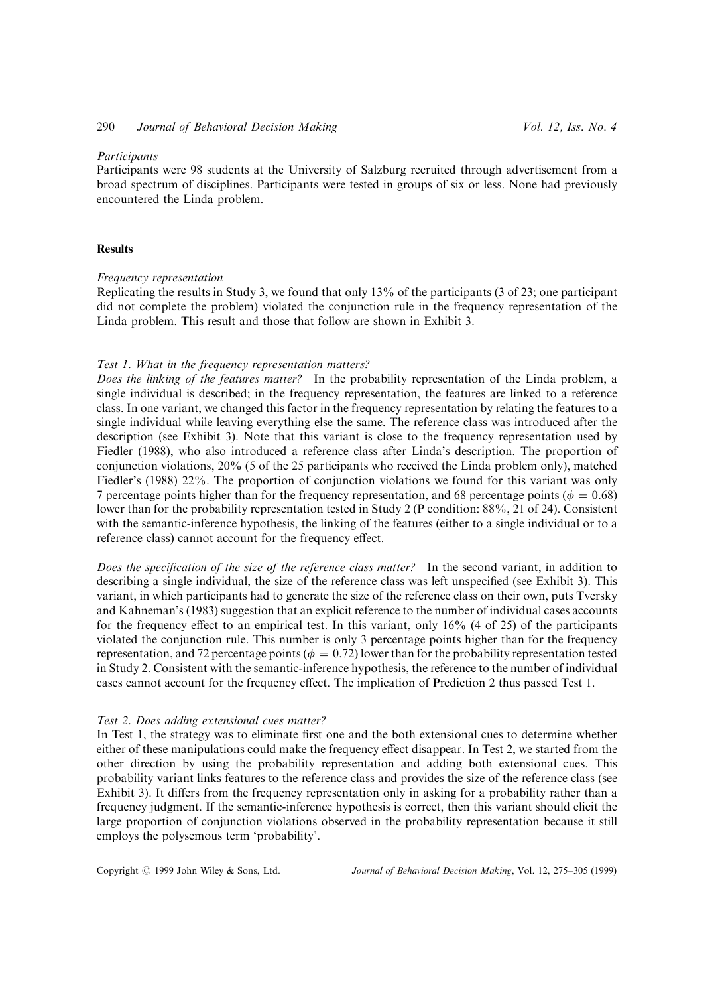#### Participants

Participants were 98 students at the University of Salzburg recruited through advertisement from a broad spectrum of disciplines. Participants were tested in groups of six or less. None had previously encountered the Linda problem.

#### **Results**

#### Frequency representation

Replicating the results in Study 3, we found that only 13% of the participants (3 of 23; one participant did not complete the problem) violated the conjunction rule in the frequency representation of the Linda problem. This result and those that follow are shown in Exhibit 3.

#### Test 1. What in the frequency representation matters?

Does the linking of the features matter? In the probability representation of the Linda problem, a single individual is described; in the frequency representation, the features are linked to a reference class. In one variant, we changed this factor in the frequency representation by relating the features to a single individual while leaving everything else the same. The reference class was introduced after the description (see Exhibit 3). Note that this variant is close to the frequency representation used by Fiedler (1988), who also introduced a reference class after Linda's description. The proportion of conjunction violations, 20% (5 of the 25 participants who received the Linda problem only), matched Fiedler's (1988) 22%. The proportion of conjunction violations we found for this variant was only 7 percentage points higher than for the frequency representation, and 68 percentage points ( $\phi = 0.68$ ) lower than for the probability representation tested in Study 2 (P condition: 88%, 21 of 24). Consistent with the semantic-inference hypothesis, the linking of the features (either to a single individual or to a reference class) cannot account for the frequency effect.

Does the specification of the size of the reference class matter? In the second variant, in addition to describing a single individual, the size of the reference class was left unspecified (see Exhibit 3). This variant, in which participants had to generate the size of the reference class on their own, puts Tversky and Kahneman's (1983) suggestion that an explicit reference to the number of individual cases accounts for the frequency effect to an empirical test. In this variant, only  $16\%$  (4 of 25) of the participants violated the conjunction rule. This number is only 3 percentage points higher than for the frequency representation, and 72 percentage points ( $\phi = 0.72$ ) lower than for the probability representation tested in Study 2. Consistent with the semantic-inference hypothesis, the reference to the number of individual cases cannot account for the frequency effect. The implication of Prediction 2 thus passed Test 1.

#### Test 2. Does adding extensional cues matter?

In Test 1, the strategy was to eliminate first one and the both extensional cues to determine whether either of these manipulations could make the frequency effect disappear. In Test 2, we started from the other direction by using the probability representation and adding both extensional cues. This probability variant links features to the reference class and provides the size of the reference class (see Exhibit 3). It differs from the frequency representation only in asking for a probability rather than a frequency judgment. If the semantic-inference hypothesis is correct, then this variant should elicit the large proportion of conjunction violations observed in the probability representation because it still employs the polysemous term 'probability'.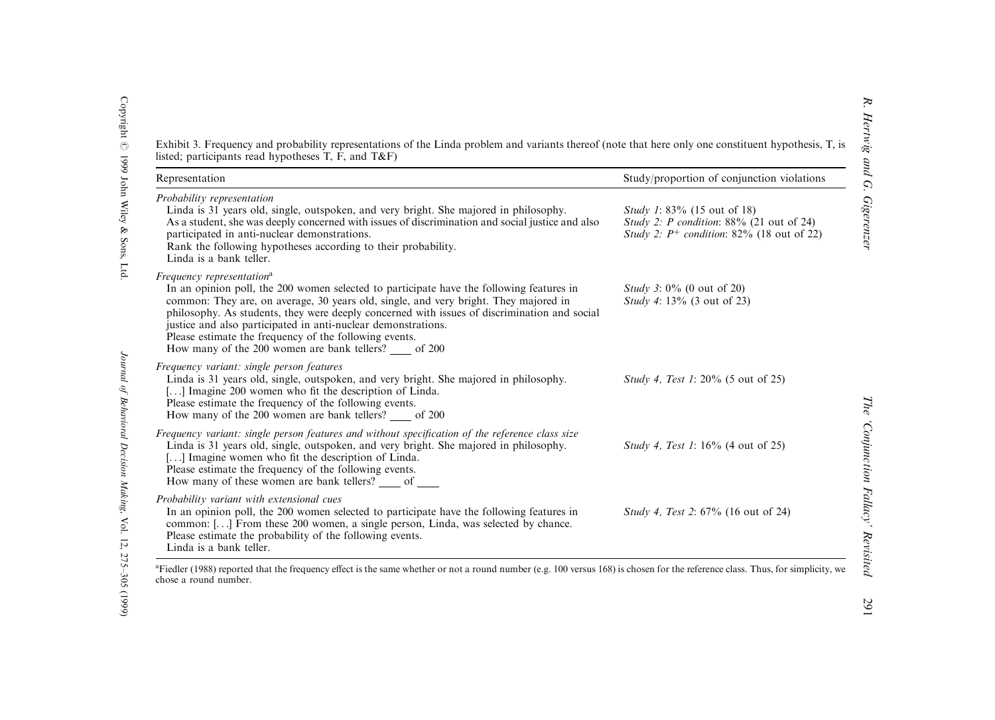| Representation                                                                                                                                                                                                                                                                                                                                                                                                                                                                                                   | Study/proportion of conjunction violations                                                                                            |
|------------------------------------------------------------------------------------------------------------------------------------------------------------------------------------------------------------------------------------------------------------------------------------------------------------------------------------------------------------------------------------------------------------------------------------------------------------------------------------------------------------------|---------------------------------------------------------------------------------------------------------------------------------------|
| Probability representation<br>Linda is 31 years old, single, outspoken, and very bright. She majored in philosophy.<br>As a student, she was deeply concerned with issues of discrimination and social justice and also<br>participated in anti-nuclear demonstrations.<br>Rank the following hypotheses according to their probability.<br>Linda is a bank teller.                                                                                                                                              | Study 1: 83% (15 out of 18)<br>Study 2: P condition: 88% (21 out of 24)<br><i>Study 2:</i> $P^+$ <i>condition:</i> 82% (18 out of 22) |
| Frequency representation <sup>a</sup><br>In an opinion poll, the 200 women selected to participate have the following features in<br>common: They are, on average, 30 years old, single, and very bright. They majored in<br>philosophy. As students, they were deeply concerned with issues of discrimination and social<br>justice and also participated in anti-nuclear demonstrations.<br>Please estimate the frequency of the following events.<br>How many of the 200 women are bank tellers? _____ of 200 | <i>Study 3:</i> $0\%$ (0 out of 20)<br>Study 4: 13% (3 out of 23)                                                                     |
| Frequency variant: single person features<br>Linda is 31 years old, single, outspoken, and very bright. She majored in philosophy.<br>[] Imagine 200 women who fit the description of Linda.<br>Please estimate the frequency of the following events.<br>How many of the 200 women are bank tellers? _____ of 200                                                                                                                                                                                               | <i>Study 4, Test 1:</i> 20% (5 out of 25)                                                                                             |
| Frequency variant: single person features and without specification of the reference class size<br>Linda is 31 years old, single, outspoken, and very bright. She majored in philosophy.<br>[] Imagine women who fit the description of Linda.<br>Please estimate the frequency of the following events.<br>How many of these women are bank tellers? _____ of _____                                                                                                                                             | <i>Study 4, Test 1:</i> 16% (4 out of 25)                                                                                             |
| Probability variant with extensional cues<br>In an opinion poll, the 200 women selected to participate have the following features in<br>common: [] From these 200 women, a single person, Linda, was selected by chance.<br>Please estimate the probability of the following events.<br>Linda is a bank teller.                                                                                                                                                                                                 | <i>Study 4, Test 2:</i> 67% (16 out of 24)                                                                                            |

Exhibit 3. Frequency and probability representations of the Linda problem and variants thereof (note that here only one constituent hypothesis, T, is listed; participants read hypotheses T, F, and T&F)  $\overline{\phantom{0}}$ 

<sup>a</sup>Fiedler (1988) reported that the frequency effect is the same whether or not a round number (e.g. 100 versus 168) is chosen for the reference class. Thus, for simplicity, we chose a round number.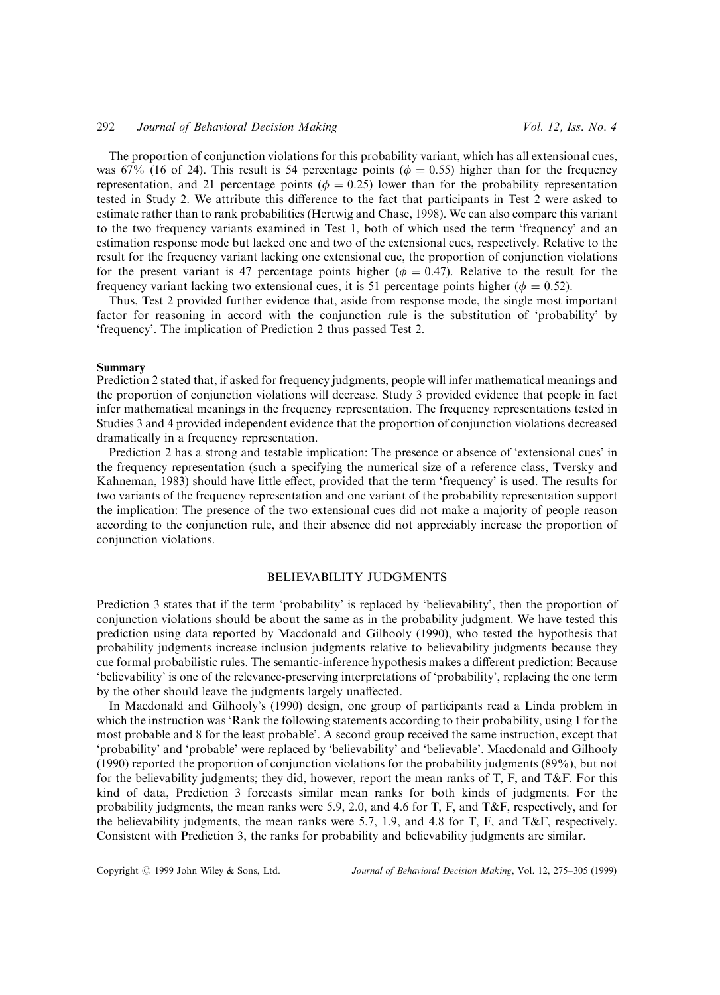The proportion of conjunction violations for this probability variant, which has all extensional cues, was 67% (16 of 24). This result is 54 percentage points ( $\phi = 0.55$ ) higher than for the frequency representation, and 21 percentage points ( $\phi = 0.25$ ) lower than for the probability representation tested in Study 2. We attribute this difference to the fact that participants in Test 2 were asked to estimate rather than to rank probabilities (Hertwig and Chase, 1998). We can also compare this variant to the two frequency variants examined in Test 1, both of which used the term 'frequency' and an estimation response mode but lacked one and two of the extensional cues, respectively. Relative to the result for the frequency variant lacking one extensional cue, the proportion of conjunction violations for the present variant is 47 percentage points higher ( $\phi = 0.47$ ). Relative to the result for the frequency variant lacking two extensional cues, it is 51 percentage points higher ( $\phi = 0.52$ ).

Thus, Test 2 provided further evidence that, aside from response mode, the single most important factor for reasoning in accord with the conjunction rule is the substitution of 'probability' by 'frequency'. The implication of Prediction 2 thus passed Test 2.

#### **Summary**

Prediction 2 stated that, if asked for frequency judgments, people will infer mathematical meanings and the proportion of conjunction violations will decrease. Study 3 provided evidence that people in fact infer mathematical meanings in the frequency representation. The frequency representations tested in Studies 3 and 4 provided independent evidence that the proportion of conjunction violations decreased dramatically in a frequency representation.

Prediction 2 has a strong and testable implication: The presence or absence of 'extensional cues' in the frequency representation (such a specifying the numerical size of a reference class, Tversky and Kahneman, 1983) should have little effect, provided that the term 'frequency' is used. The results for two variants of the frequency representation and one variant of the probability representation support the implication: The presence of the two extensional cues did not make a majority of people reason according to the conjunction rule, and their absence did not appreciably increase the proportion of conjunction violations.

#### **BELIEVABILITY JUDGMENTS**

Prediction 3 states that if the term 'probability' is replaced by 'believability', then the proportion of conjunction violations should be about the same as in the probability judgment. We have tested this prediction using data reported by Macdonald and Gilhooly (1990), who tested the hypothesis that probability judgments increase inclusion judgments relative to believability judgments because they cue formal probabilistic rules. The semantic-inference hypothesis makes a different prediction: Because 'believability' is one of the relevance-preserving interpretations of 'probability', replacing the one term by the other should leave the judgments largely unaffected.

In Macdonald and Gilhooly's (1990) design, one group of participants read a Linda problem in which the instruction was 'Rank the following statements according to their probability, using 1 for the most probable and 8 for the least probable'. A second group received the same instruction, except that 'probability' and 'probable' were replaced by 'believability' and 'believable'. Macdonald and Gilhooly (1990) reported the proportion of conjunction violations for the probability judgments (89%), but not for the believability judgments; they did, however, report the mean ranks of  $T$ ,  $F$ , and  $T\&F$ . For this kind of data, Prediction 3 forecasts similar mean ranks for both kinds of judgments. For the probability judgments, the mean ranks were 5.9, 2.0, and 4.6 for T, F, and T&F, respectively, and for the believability judgments, the mean ranks were 5.7, 1.9, and 4.8 for T, F, and T&F, respectively. Consistent with Prediction 3, the ranks for probability and believability judgments are similar.

Copyright © 1999 John Wiley & Sons, Ltd.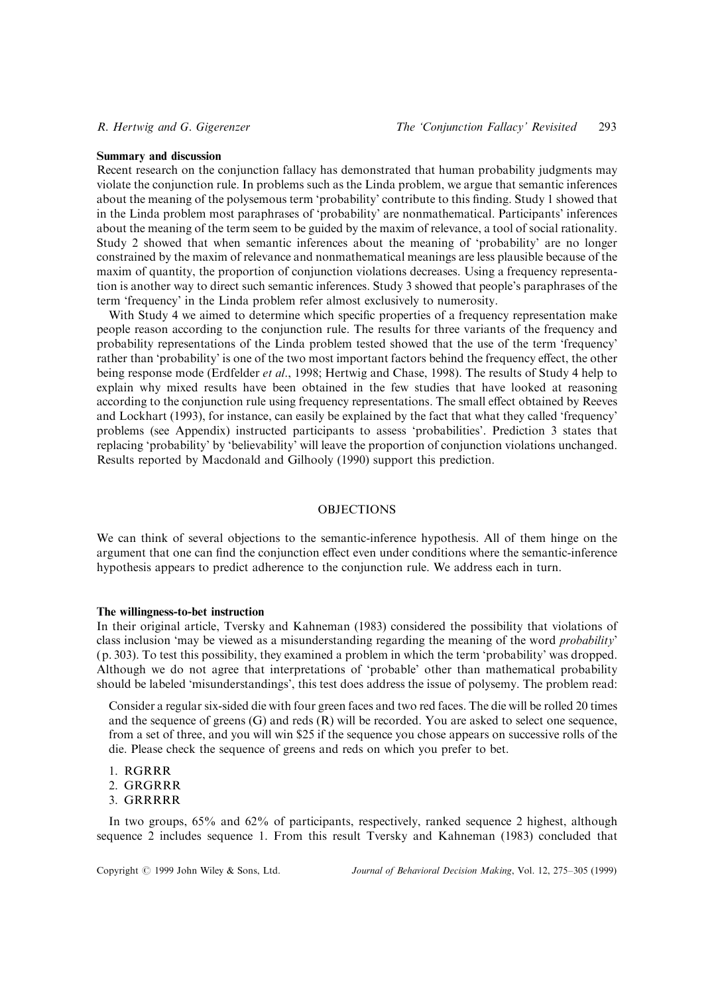#### The 'Conjunction Fallacy' Revisited 293

#### **Summary and discussion**

Recent research on the conjunction fallacy has demonstrated that human probability judgments may violate the conjunction rule. In problems such as the Linda problem, we argue that semantic inferences about the meaning of the polysemous term 'probability' contribute to this finding. Study 1 showed that in the Linda problem most paraphrases of 'probability' are nonmathematical. Participants' inferences about the meaning of the term seem to be guided by the maxim of relevance, a tool of social rationality. Study 2 showed that when semantic inferences about the meaning of 'probability' are no longer constrained by the maxim of relevance and nonmathematical meanings are less plausible because of the maxim of quantity, the proportion of conjunction violations decreases. Using a frequency representation is another way to direct such semantic inferences. Study 3 showed that people's paraphrases of the term 'frequency' in the Linda problem refer almost exclusively to numerosity.

With Study 4 we aimed to determine which specific properties of a frequency representation make people reason according to the conjunction rule. The results for three variants of the frequency and probability representations of the Linda problem tested showed that the use of the term 'frequency' rather than 'probability' is one of the two most important factors behind the frequency effect, the other being response mode (Erdfelder et al., 1998; Hertwig and Chase, 1998). The results of Study 4 help to explain why mixed results have been obtained in the few studies that have looked at reasoning according to the conjunction rule using frequency representations. The small effect obtained by Reeves and Lockhart (1993), for instance, can easily be explained by the fact that what they called 'frequency' problems (see Appendix) instructed participants to assess 'probabilities'. Prediction 3 states that replacing 'probability' by 'believability' will leave the proportion of conjunction violations unchanged. Results reported by Macdonald and Gilhooly (1990) support this prediction.

#### **OBJECTIONS**

We can think of several objections to the semantic-inference hypothesis. All of them hinge on the argument that one can find the conjunction effect even under conditions where the semantic-inference hypothesis appears to predict adherence to the conjunction rule. We address each in turn.

#### The willingness-to-bet instruction

In their original article, Tversky and Kahneman (1983) considered the possibility that violations of class inclusion 'may be viewed as a misunderstanding regarding the meaning of the word *probability*' (p. 303). To test this possibility, they examined a problem in which the term 'probability' was dropped. Although we do not agree that interpretations of 'probable' other than mathematical probability should be labeled 'misunderstandings', this test does address the issue of polysemy. The problem read:

Consider a regular six-sided die with four green faces and two red faces. The die will be rolled 20 times and the sequence of greens  $(G)$  and reds  $(R)$  will be recorded. You are asked to select one sequence, from a set of three, and you will win \$25 if the sequence you chose appears on successive rolls of the die. Please check the sequence of greens and reds on which you prefer to bet.

- 1. RGRRR
- 2. GRGRRR
- 3. GRRRRR

In two groups, 65% and 62% of participants, respectively, ranked sequence 2 highest, although sequence 2 includes sequence 1. From this result Tversky and Kahneman (1983) concluded that

Copyright © 1999 John Wiley & Sons, Ltd.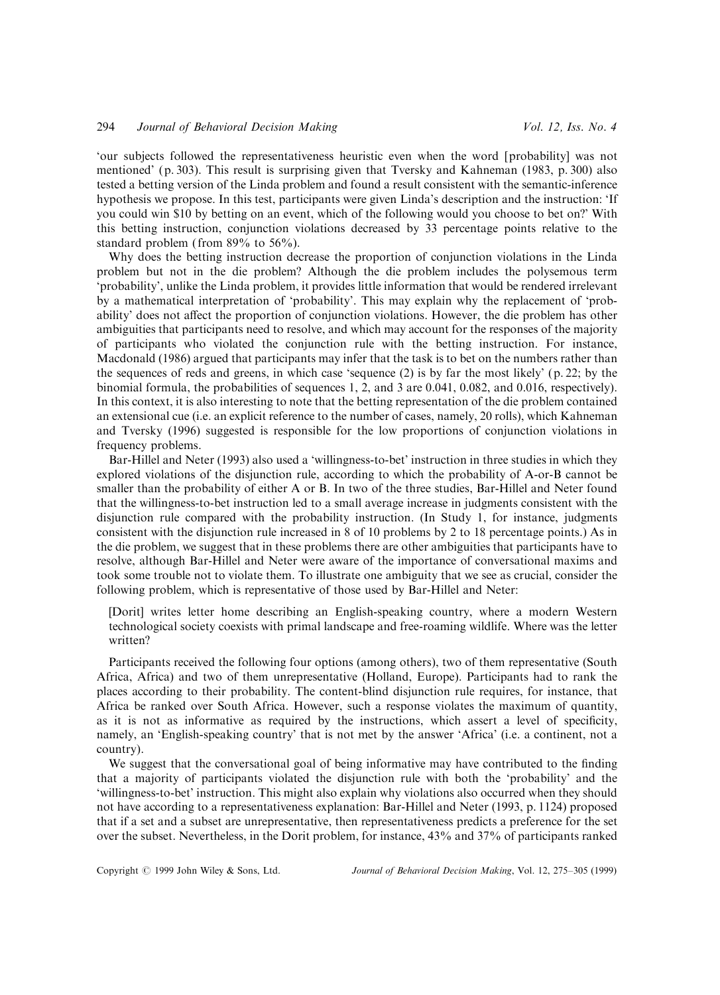'our subjects followed the representativeness heuristic even when the word [probability] was not mentioned' (p. 303). This result is surprising given that Tversky and Kahneman (1983, p. 300) also tested a betting version of the Linda problem and found a result consistent with the semantic-inference hypothesis we propose. In this test, participants were given Linda's description and the instruction: 'If you could win \$10 by betting on an event, which of the following would you choose to bet on?' With this betting instruction, conjunction violations decreased by 33 percentage points relative to the standard problem (from  $89\%$  to  $56\%$ ).

Why does the betting instruction decrease the proportion of conjunction violations in the Linda problem but not in the die problem? Although the die problem includes the polysemous term 'probability', unlike the Linda problem, it provides little information that would be rendered irrelevant by a mathematical interpretation of 'probability'. This may explain why the replacement of 'probability' does not affect the proportion of conjunction violations. However, the die problem has other ambiguities that participants need to resolve, and which may account for the responses of the majority of participants who violated the conjunction rule with the betting instruction. For instance, Macdonald (1986) argued that participants may infer that the task is to bet on the numbers rather than the sequences of reds and greens, in which case 'sequence  $(2)$  is by far the most likely'  $(p. 22$ ; by the binomial formula, the probabilities of sequences 1, 2, and 3 are  $0.041$ ,  $0.082$ , and  $0.016$ , respectively). In this context, it is also interesting to note that the betting representation of the die problem contained an extensional cue (i.e. an explicit reference to the number of cases, namely, 20 rolls), which Kahneman and Tversky (1996) suggested is responsible for the low proportions of conjunction violations in frequency problems.

Bar-Hillel and Neter (1993) also used a 'willingness-to-bet' instruction in three studies in which they explored violations of the disjunction rule, according to which the probability of A-or-B cannot be smaller than the probability of either A or B. In two of the three studies, Bar-Hillel and Neter found that the willingness-to-bet instruction led to a small average increase in judgments consistent with the disjunction rule compared with the probability instruction. (In Study 1, for instance, judgments consistent with the disjunction rule increased in 8 of 10 problems by 2 to 18 percentage points.) As in the die problem, we suggest that in these problems there are other ambiguities that participants have to resolve, although Bar-Hillel and Neter were aware of the importance of conversational maxims and took some trouble not to violate them. To illustrate one ambiguity that we see as crucial, consider the following problem, which is representative of those used by Bar-Hillel and Neter:

[Dorit] writes letter home describing an English-speaking country, where a modern Western technological society coexists with primal landscape and free-roaming wildlife. Where was the letter written?

Participants received the following four options (among others), two of them representative (South Africa, Africa) and two of them unrepresentative (Holland, Europe). Participants had to rank the places according to their probability. The content-blind disjunction rule requires, for instance, that Africa be ranked over South Africa. However, such a response violates the maximum of quantity, as it is not as informative as required by the instructions, which assert a level of specificity, namely, an 'English-speaking country' that is not met by the answer 'Africa' (i.e. a continent, not a country).

We suggest that the conversational goal of being informative may have contributed to the finding that a majority of participants violated the disjunction rule with both the 'probability' and the 'willingness-to-bet' instruction. This might also explain why violations also occurred when they should not have according to a representativeness explanation: Bar-Hillel and Neter (1993, p. 1124) proposed that if a set and a subset are unrepresentative, then representativeness predicts a preference for the set over the subset. Nevertheless, in the Dorit problem, for instance, 43% and 37% of participants ranked

Copyright © 1999 John Wiley & Sons, Ltd.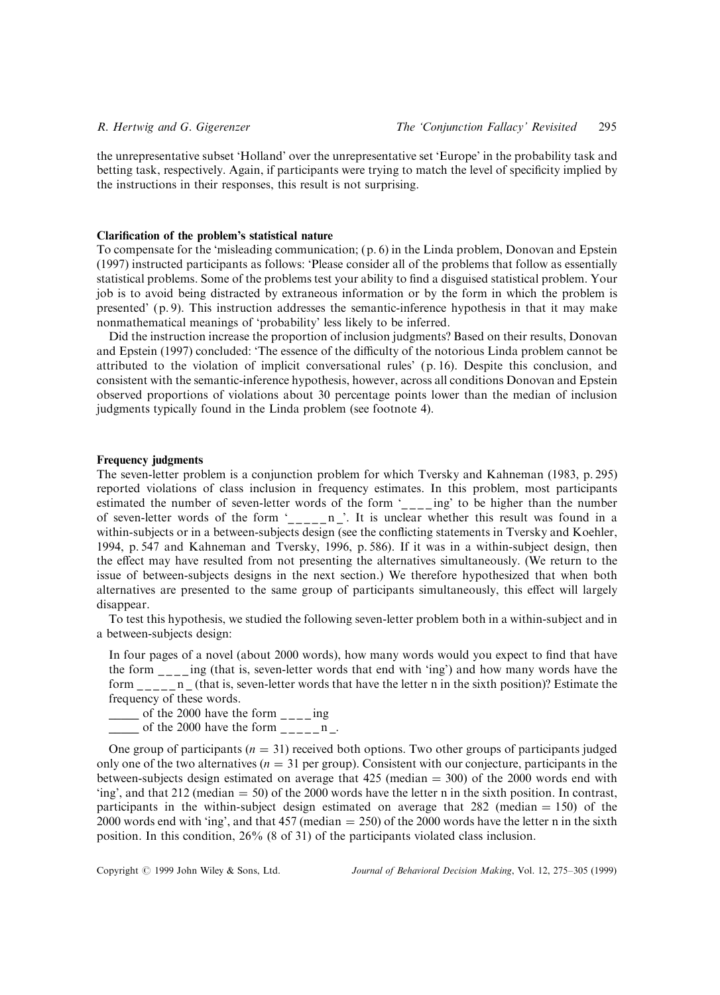the unrepresentative subset 'Holland' over the unrepresentative set 'Europe' in the probability task and betting task, respectively. Again, if participants were trying to match the level of specificity implied by the instructions in their responses, this result is not surprising.

#### Clarification of the problem's statistical nature

To compensate for the 'misleading communication;  $(p, 6)$  in the Linda problem, Donovan and Epstein (1997) instructed participants as follows: 'Please consider all of the problems that follow as essentially statistical problems. Some of the problems test your ability to find a disguised statistical problem. Your job is to avoid being distracted by extraneous information or by the form in which the problem is presented' (p.9). This instruction addresses the semantic-inference hypothesis in that it may make nonmathematical meanings of 'probability' less likely to be inferred.

Did the instruction increase the proportion of inclusion judgments? Based on their results, Donovan and Epstein (1997) concluded: 'The essence of the difficulty of the notorious Linda problem cannot be attributed to the violation of implicit conversational rules' (p. 16). Despite this conclusion, and consistent with the semantic-inference hypothesis, however, across all conditions Donovan and Epstein observed proportions of violations about 30 percentage points lower than the median of inclusion judgments typically found in the Linda problem (see footnote 4).

#### **Frequency judgments**

The seven-letter problem is a conjunction problem for which Tversky and Kahneman (1983, p. 295) reported violations of class inclusion in frequency estimates. In this problem, most participants estimated the number of seven-letter words of the form '\_\_\_\_ ing' to be higher than the number of seven-letter words of the form  $\frac{1}{2}$  - n  $\frac{1}{2}$ . It is unclear whether this result was found in a within-subjects or in a between-subjects design (see the conflicting statements in Tversky and Koehler, 1994, p. 547 and Kahneman and Tversky, 1996, p. 586). If it was in a within-subject design, then the effect may have resulted from not presenting the alternatives simultaneously. (We return to the issue of between-subjects designs in the next section.) We therefore hypothesized that when both alternatives are presented to the same group of participants simultaneously, this effect will largely disappear.

To test this hypothesis, we studied the following seven-letter problem both in a within-subject and in a between-subjects design:

In four pages of a novel (about 2000 words), how many words would you expect to find that have the form  $\frac{1}{1-\frac{1}{1-\frac{1}{1-\frac{1}{1-\frac{1}{1-\frac{1}{1-\frac{1}{1-\frac{1}{1-\frac{1}{1-\frac{1}{1-\frac{1}{1-\frac{1}{1-\frac{1}{1-\frac{1}{1-\frac{1}{1-\frac{1}{1-\frac{1}{1-\frac{1}{1-\frac{1}{1-\frac{1}{1-\frac{1}{1-\frac{1}{1-\frac{1}{1-\frac{1}{1-\frac{1}{1-\frac{1}{1-\frac{1}{1-\frac{1}{1-\frac{1}{1-\frac{1}{1-\frac{1}{1-\frac{1}{1-\frac{1}{1-\frac{1}{1-\frac{1}{1-\$ form  $\frac{1}{1-\frac{1}{1-\frac{1}{1-\frac{1}{1-\frac{1}{1-\frac{1}{1-\frac{1}{1-\frac{1}{1-\frac{1}{1-\frac{1}{1-\frac{1}{1-\frac{1}{1-\frac{1}{1-\frac{1}{1-\frac{1}{1-\frac{1}{1-\frac{1}{1-\frac{1}{1-\frac{1}{1-\frac{1}{1-\frac{1}{1-\frac{1}{1-\frac{1}{1-\frac{1}{1-\frac{1}{1-\frac{1}{1-\frac{1}{1-\frac{1}{1-\frac{1}{1-\frac{1}{1-\frac{1}{1-\frac{1}{1-\frac{1}{1-\frac{1}{1-\frac{1}{1-\frac{1}{$ frequency of these words.

 $\frac{1}{2}$  of the 2000 have the form  $\frac{1}{2}$  ing

of the 2000 have the form  $\frac{1}{2}$  -

One group of participants ( $n = 31$ ) received both options. Two other groups of participants judged only one of the two alternatives ( $n = 31$  per group). Consistent with our conjecture, participants in the between-subjects design estimated on average that  $425$  (median = 300) of the 2000 words end with 'ing', and that 212 (median = 50) of the 2000 words have the letter n in the sixth position. In contrast, participants in the within-subject design estimated on average that  $282$  (median = 150) of the 2000 words end with 'ing', and that 457 (median  $= 250$ ) of the 2000 words have the letter n in the sixth position. In this condition, 26% (8 of 31) of the participants violated class inclusion.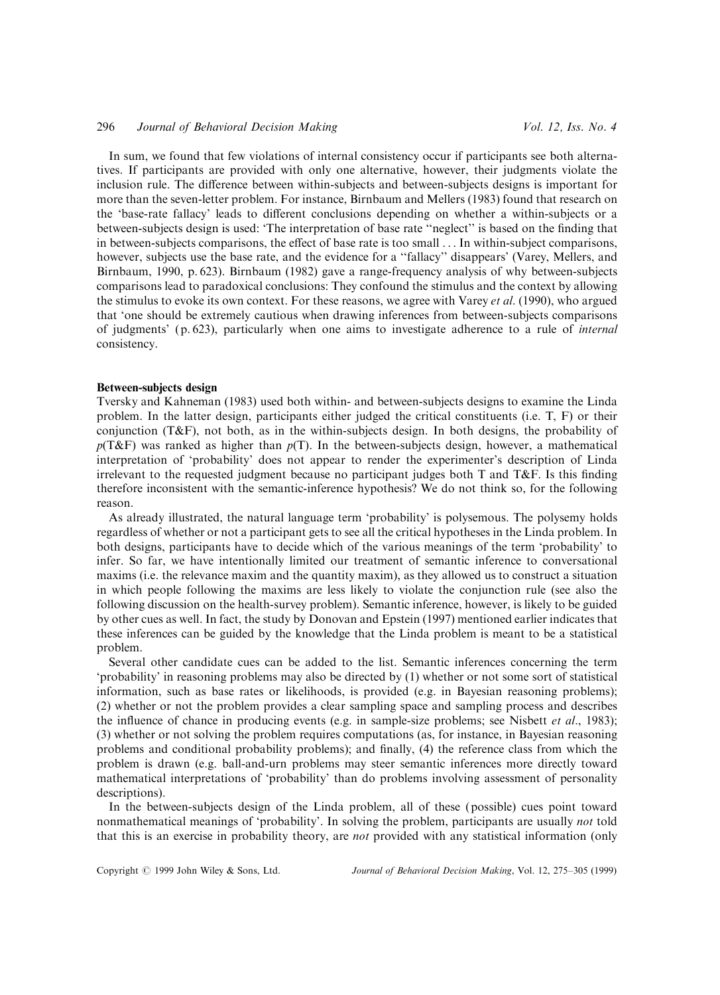In sum, we found that few violations of internal consistency occur if participants see both alternatives. If participants are provided with only one alternative, however, their judgments violate the inclusion rule. The difference between within-subjects and between-subjects designs is important for more than the seven-letter problem. For instance, Birnbaum and Mellers (1983) found that research on the 'base-rate fallacy' leads to different conclusions depending on whether a within-subjects or a between-subjects design is used: 'The interpretation of base rate "neglect" is based on the finding that in between-subjects comparisons, the effect of base rate is too small . . . In within-subject comparisons, however, subjects use the base rate, and the evidence for a "fallacy" disappears' (Varey, Mellers, and Birnbaum, 1990, p. 623). Birnbaum (1982) gave a range-frequency analysis of why between-subjects comparisons lead to paradoxical conclusions: They confound the stimulus and the context by allowing the stimulus to evoke its own context. For these reasons, we agree with Varey *et al.* (1990), who argued that 'one should be extremely cautious when drawing inferences from between-subjects comparisons of judgments' (p. 623), particularly when one aims to investigate adherence to a rule of *internal* consistency.

#### **Between-subjects design**

Tversky and Kahneman (1983) used both within- and between-subjects designs to examine the Linda problem. In the latter design, participants either judged the critical constituents (i.e. T, F) or their conjunction  $(T\&F)$ , not both, as in the within-subjects design. In both designs, the probability of  $p(T\&F)$  was ranked as higher than  $p(T)$ . In the between-subjects design, however, a mathematical interpretation of 'probability' does not appear to render the experimenter's description of Linda irrelevant to the requested judgment because no participant judges both  $T$  and  $T\&F$ . Is this finding therefore inconsistent with the semantic-inference hypothesis? We do not think so, for the following reason.

As already illustrated, the natural language term 'probability' is polysemous. The polysemy holds regardless of whether or not a participant gets to see all the critical hypotheses in the Linda problem. In both designs, participants have to decide which of the various meanings of the term 'probability' to infer. So far, we have intentionally limited our treatment of semantic inference to conversational maxims (i.e. the relevance maxim and the quantity maxim), as they allowed us to construct a situation in which people following the maxims are less likely to violate the conjunction rule (see also the following discussion on the health-survey problem). Semantic inference, however, is likely to be guided by other cues as well. In fact, the study by Donovan and Epstein (1997) mentioned earlier indicates that these inferences can be guided by the knowledge that the Linda problem is meant to be a statistical problem.

Several other candidate cues can be added to the list. Semantic inferences concerning the term 'probability' in reasoning problems may also be directed by (1) whether or not some sort of statistical information, such as base rates or likelihoods, is provided (e.g. in Bayesian reasoning problems); (2) whether or not the problem provides a clear sampling space and sampling process and describes the influence of chance in producing events (e.g. in sample-size problems; see Nisbett *et al.*, 1983); (3) whether or not solving the problem requires computations (as, for instance, in Bayesian reasoning problems and conditional probability problems); and finally, (4) the reference class from which the problem is drawn (e.g. ball-and-urn problems may steer semantic inferences more directly toward mathematical interpretations of 'probability' than do problems involving assessment of personality descriptions).

In the between-subjects design of the Linda problem, all of these (possible) cues point toward nonmathematical meanings of 'probability'. In solving the problem, participants are usually *not* told that this is an exercise in probability theory, are *not* provided with any statistical information (only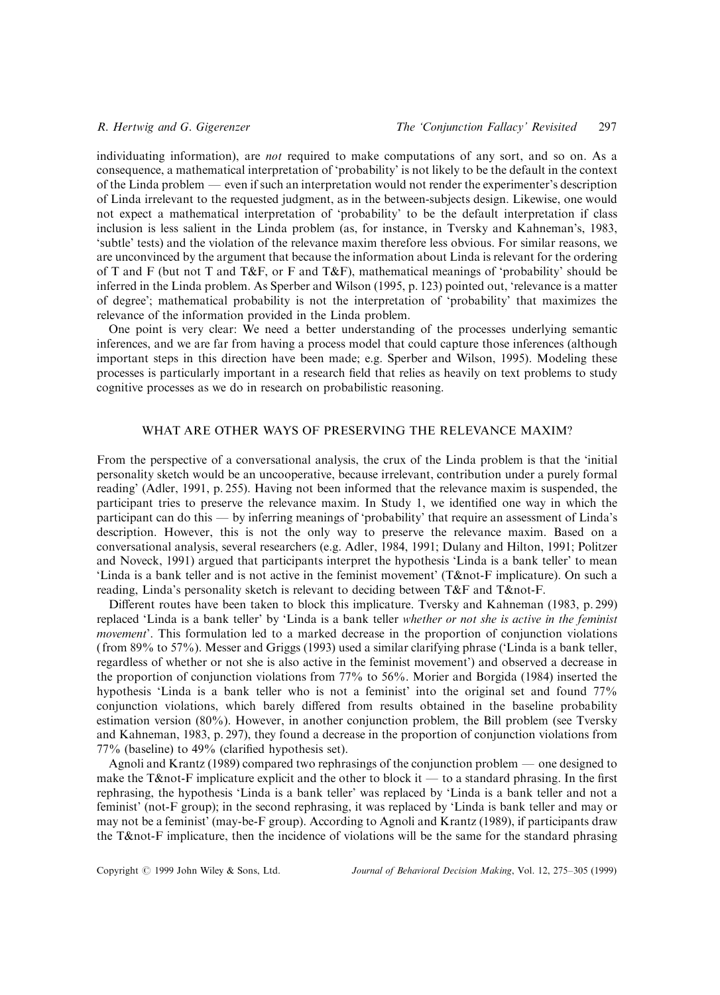individuating information), are *not* required to make computations of any sort, and so on. As a consequence, a mathematical interpretation of 'probability' is not likely to be the default in the context of the Linda problem — even if such an interpretation would not render the experimenter's description of Linda irrelevant to the requested judgment, as in the between-subjects design. Likewise, one would not expect a mathematical interpretation of 'probability' to be the default interpretation if class inclusion is less salient in the Linda problem (as, for instance, in Tversky and Kahneman's, 1983, 'subtle' tests) and the violation of the relevance maxim therefore less obvious. For similar reasons, we are unconvinced by the argument that because the information about Linda is relevant for the ordering of T and F (but not T and T&F, or F and T&F), mathematical meanings of 'probability' should be inferred in the Linda problem. As Sperber and Wilson (1995, p. 123) pointed out, 'relevance is a matter of degree'; mathematical probability is not the interpretation of 'probability' that maximizes the relevance of the information provided in the Linda problem.

One point is very clear: We need a better understanding of the processes underlying semantic inferences, and we are far from having a process model that could capture those inferences (although important steps in this direction have been made; e.g. Sperber and Wilson, 1995). Modeling these processes is particularly important in a research field that relies as heavily on text problems to study cognitive processes as we do in research on probabilistic reasoning.

### WHAT ARE OTHER WAYS OF PRESERVING THE RELEVANCE MAXIM?

From the perspective of a conversational analysis, the crux of the Linda problem is that the 'initial personality sketch would be an uncooperative, because irrelevant, contribution under a purely formal reading' (Adler, 1991, p. 255). Having not been informed that the relevance maxim is suspended, the participant tries to preserve the relevance maxim. In Study 1, we identified one way in which the participant can do this — by inferring meanings of 'probability' that require an assessment of Linda's description. However, this is not the only way to preserve the relevance maxim. Based on a conversational analysis, several researchers (e.g. Adler, 1984, 1991; Dulany and Hilton, 1991; Politzer and Noveck, 1991) argued that participants interpret the hypothesis 'Linda is a bank teller' to mean 'Linda is a bank teller and is not active in the feminist movement' (T&not-F implicature). On such a reading, Linda's personality sketch is relevant to deciding between T&F and T&not-F.

Different routes have been taken to block this implicature. Tversky and Kahneman (1983, p. 299) replaced 'Linda is a bank teller' by 'Linda is a bank teller whether or not she is active in the feminist *movement*. This formulation led to a marked decrease in the proportion of conjunction violations (from 89% to 57%). Messer and Griggs (1993) used a similar clarifying phrase ('Linda is a bank teller, regardless of whether or not she is also active in the feminist movement') and observed a decrease in the proportion of conjunction violations from 77% to 56%. Morier and Borgida (1984) inserted the hypothesis 'Linda is a bank teller who is not a feminist' into the original set and found 77% conjunction violations, which barely differed from results obtained in the baseline probability estimation version (80%). However, in another conjunction problem, the Bill problem (see Tversky and Kahneman, 1983, p. 297), they found a decrease in the proportion of conjunction violations from 77% (baseline) to 49% (clarified hypothesis set).

Agnoli and Krantz (1989) compared two rephrasings of the conjunction problem — one designed to make the T&not-F implicature explicit and the other to block it — to a standard phrasing. In the first rephrasing, the hypothesis 'Linda is a bank teller' was replaced by 'Linda is a bank teller and not a feminist' (not-F group); in the second rephrasing, it was replaced by 'Linda is bank teller and may or may not be a feminist' (may-be-F group). According to Agnoli and Krantz (1989), if participants draw the T&not-F implicature, then the incidence of violations will be the same for the standard phrasing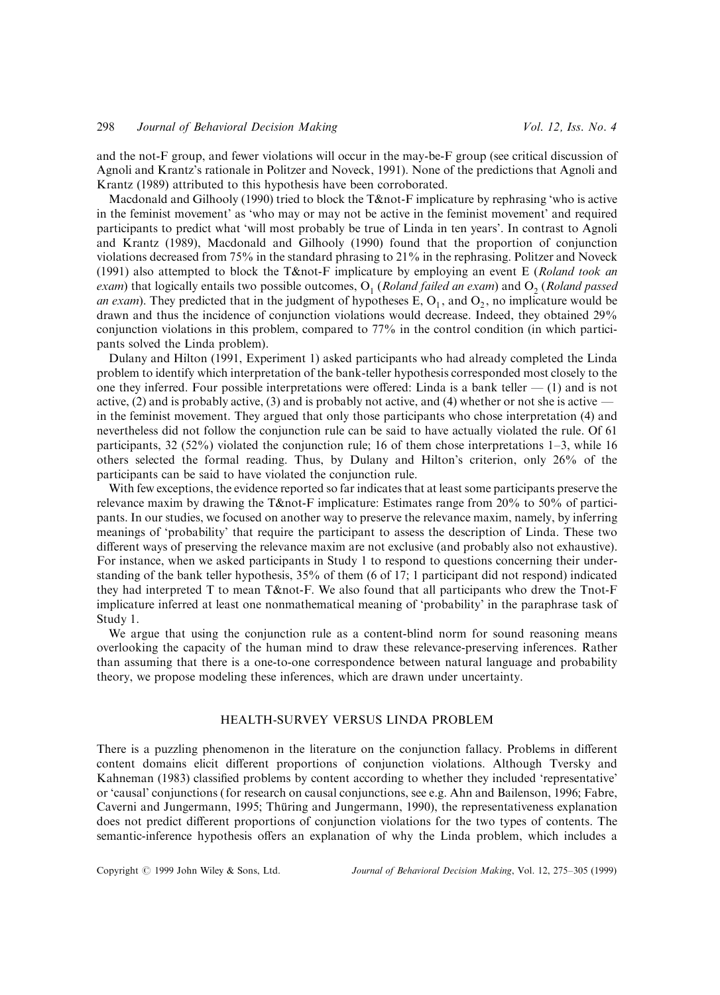and the not-F group, and fewer violations will occur in the may-be-F group (see critical discussion of Agnoli and Krantz's rationale in Politzer and Noveck, 1991). None of the predictions that Agnoli and Krantz (1989) attributed to this hypothesis have been corroborated.

Macdonald and Gilhooly (1990) tried to block the T&not-F implicature by rephrasing 'who is active in the feminist movement' as 'who may or may not be active in the feminist movement' and required participants to predict what 'will most probably be true of Linda in ten years'. In contrast to Agnoli and Krantz (1989), Macdonald and Gilhooly (1990) found that the proportion of conjunction violations decreased from 75% in the standard phrasing to 21% in the rephrasing. Politzer and Noveck (1991) also attempted to block the T&not-F implicature by employing an event E (Roland took an exam) that logically entails two possible outcomes,  $O_1$  (Roland failed an exam) and  $O_2$  (Roland passed an exam). They predicted that in the judgment of hypotheses E,  $O_1$ , and  $O_2$ , no implicature would be drawn and thus the incidence of conjunction violations would decrease. Indeed, they obtained 29% conjunction violations in this problem, compared to 77% in the control condition (in which participants solved the Linda problem).

Dulany and Hilton (1991, Experiment 1) asked participants who had already completed the Linda problem to identify which interpretation of the bank-teller hypothesis corresponded most closely to the one they inferred. Four possible interpretations were offered: Linda is a bank teller  $- (1)$  and is not active, (2) and is probably active, (3) and is probably not active, and (4) whether or not she is active  $$ in the feminist movement. They argued that only those participants who chose interpretation (4) and nevertheless did not follow the conjunction rule can be said to have actually violated the rule. Of 61 participants, 32 (52%) violated the conjunction rule; 16 of them chose interpretations 1–3, while 16 others selected the formal reading. Thus, by Dulany and Hilton's criterion, only 26% of the participants can be said to have violated the conjunction rule.

With few exceptions, the evidence reported so far indicates that at least some participants preserve the relevance maxim by drawing the T&not-F implicature: Estimates range from 20% to 50% of participants. In our studies, we focused on another way to preserve the relevance maxim, namely, by inferring meanings of 'probability' that require the participant to assess the description of Linda. These two different ways of preserving the relevance maxim are not exclusive (and probably also not exhaustive). For instance, when we asked participants in Study 1 to respond to questions concerning their understanding of the bank teller hypothesis, 35% of them (6 of 17; 1 participant did not respond) indicated they had interpreted T to mean T&not-F. We also found that all participants who drew the Tnot-F implicature inferred at least one nonmathematical meaning of 'probability' in the paraphrase task of Study 1.

We argue that using the conjunction rule as a content-blind norm for sound reasoning means overlooking the capacity of the human mind to draw these relevance-preserving inferences. Rather than assuming that there is a one-to-one correspondence between natural language and probability theory, we propose modeling these inferences, which are drawn under uncertainty.

#### **HEALTH-SURVEY VERSUS LINDA PROBLEM**

There is a puzzling phenomenon in the literature on the conjunction fallacy. Problems in different content domains elicit different proportions of conjunction violations. Although Tversky and Kahneman (1983) classified problems by content according to whether they included 'representative' or 'causal' conjunctions (for research on causal conjunctions, see e.g. Ahn and Bailenson, 1996; Fabre, Caverni and Jungermann, 1995; Thüring and Jungermann, 1990), the representativeness explanation does not predict different proportions of conjunction violations for the two types of contents. The semantic-inference hypothesis offers an explanation of why the Linda problem, which includes a

Copyright © 1999 John Wiley & Sons, Ltd.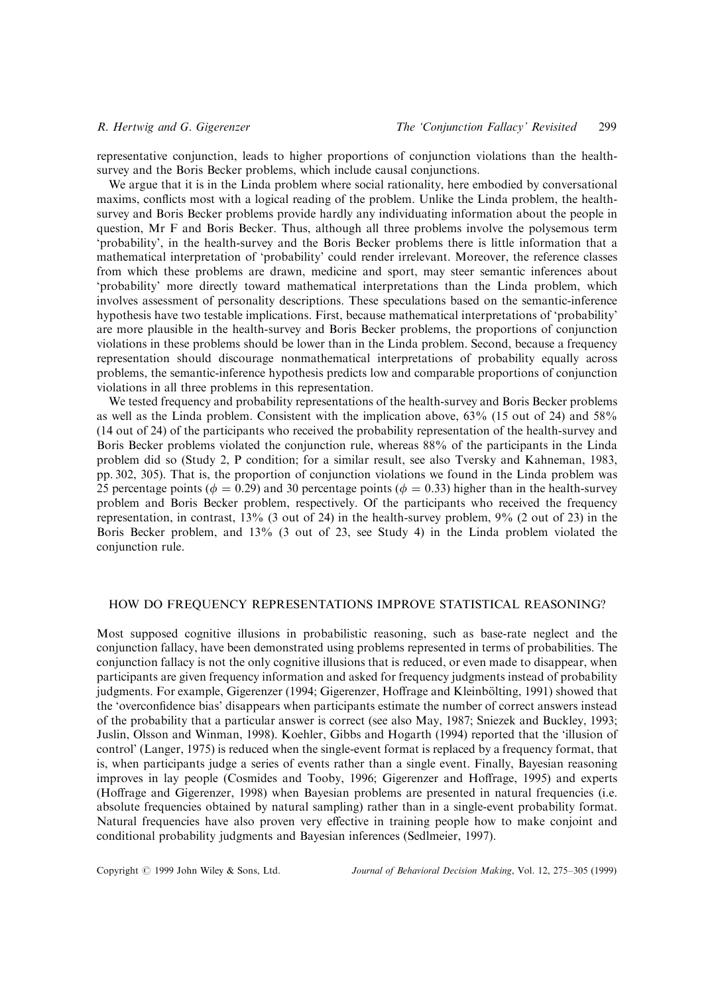representative conjunction, leads to higher proportions of conjunction violations than the healthsurvey and the Boris Becker problems, which include causal conjunctions.

We argue that it is in the Linda problem where social rationality, here embodied by conversational maxims, conflicts most with a logical reading of the problem. Unlike the Linda problem, the healthsurvey and Boris Becker problems provide hardly any individuating information about the people in question, Mr F and Boris Becker. Thus, although all three problems involve the polysemous term 'probability', in the health-survey and the Boris Becker problems there is little information that a mathematical interpretation of 'probability' could render irrelevant. Moreover, the reference classes from which these problems are drawn, medicine and sport, may steer semantic inferences about 'probability' more directly toward mathematical interpretations than the Linda problem, which involves assessment of personality descriptions. These speculations based on the semantic-inference hypothesis have two testable implications. First, because mathematical interpretations of 'probability' are more plausible in the health-survey and Boris Becker problems, the proportions of conjunction violations in these problems should be lower than in the Linda problem. Second, because a frequency representation should discourage nonmathematical interpretations of probability equally across problems, the semantic-inference hypothesis predicts low and comparable proportions of conjunction violations in all three problems in this representation.

We tested frequency and probability representations of the health-survey and Boris Becker problems as well as the Linda problem. Consistent with the implication above,  $63\%$  (15 out of 24) and  $58\%$ (14 out of 24) of the participants who received the probability representation of the health-survey and Boris Becker problems violated the conjunction rule, whereas 88% of the participants in the Linda problem did so (Study 2, P condition; for a similar result, see also Tversky and Kahneman, 1983, pp. 302, 305). That is, the proportion of conjunction violations we found in the Linda problem was 25 percentage points ( $\phi = 0.29$ ) and 30 percentage points ( $\phi = 0.33$ ) higher than in the health-survey problem and Boris Becker problem, respectively. Of the participants who received the frequency representation, in contrast, 13% (3 out of 24) in the health-survey problem, 9% (2 out of 23) in the Boris Becker problem, and 13% (3 out of 23, see Study 4) in the Linda problem violated the conjunction rule.

# HOW DO FREQUENCY REPRESENTATIONS IMPROVE STATISTICAL REASONING?

Most supposed cognitive illusions in probabilistic reasoning, such as base-rate neglect and the conjunction fallacy, have been demonstrated using problems represented in terms of probabilities. The conjunction fallacy is not the only cognitive illusions that is reduced, or even made to disappear, when participants are given frequency information and asked for frequency judgments instead of probability judgments. For example, Gigerenzer (1994; Gigerenzer, Hoffrage and Kleinbölting, 1991) showed that the 'overconfidence bias' disappears when participants estimate the number of correct answers instead of the probability that a particular answer is correct (see also May, 1987; Sniezek and Buckley, 1993; Juslin, Olsson and Winman, 1998). Koehler, Gibbs and Hogarth (1994) reported that the 'illusion of control' (Langer, 1975) is reduced when the single-event format is replaced by a frequency format, that is, when participants judge a series of events rather than a single event. Finally, Bayesian reasoning improves in lay people (Cosmides and Tooby, 1996; Gigerenzer and Hoffrage, 1995) and experts (Hoffrage and Gigerenzer, 1998) when Bayesian problems are presented in natural frequencies (i.e. absolute frequencies obtained by natural sampling) rather than in a single-event probability format. Natural frequencies have also proven very effective in training people how to make conjoint and conditional probability judgments and Bayesian inferences (Sedlmeier, 1997).

Copyright © 1999 John Wiley & Sons, Ltd.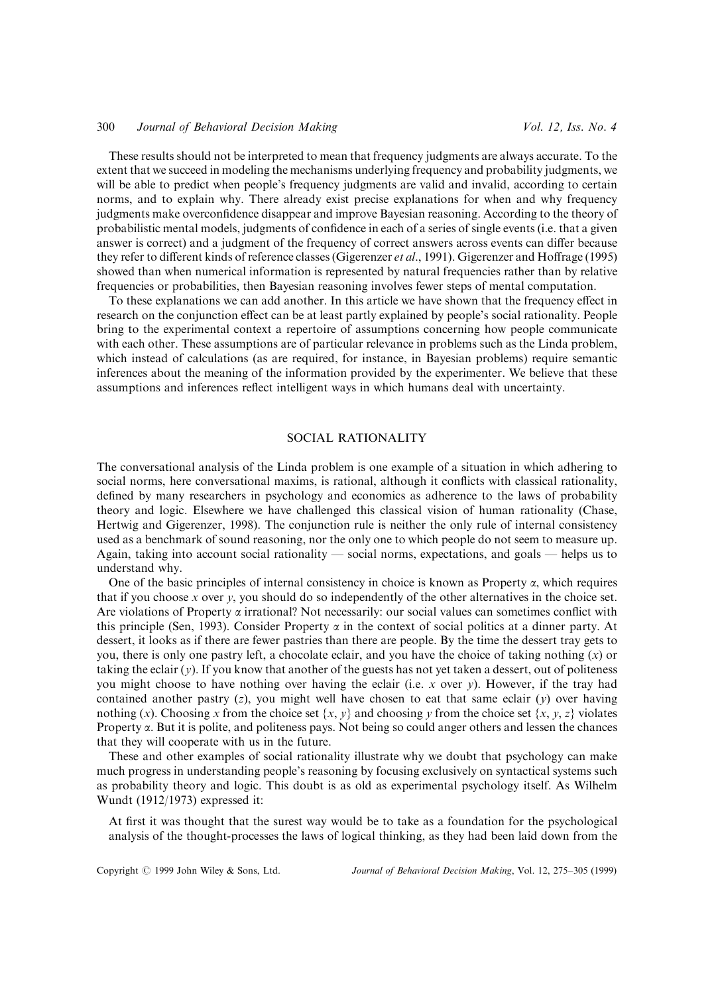These results should not be interpreted to mean that frequency judgments are always accurate. To the extent that we succeed in modeling the mechanisms underlying frequency and probability judgments, we will be able to predict when people's frequency judgments are valid and invalid, according to certain norms, and to explain why. There already exist precise explanations for when and why frequency judgments make overconfidence disappear and improve Bayesian reasoning. According to the theory of probabilistic mental models, judgments of confidence in each of a series of single events (i.e. that a given answer is correct) and a judgment of the frequency of correct answers across events can differ because they refer to different kinds of reference classes (Gigerenzer *et al.*, 1991). Gigerenzer and Hoffrage (1995) showed than when numerical information is represented by natural frequencies rather than by relative frequencies or probabilities, then Bayesian reasoning involves fewer steps of mental computation.

To these explanations we can add another. In this article we have shown that the frequency effect in research on the conjunction effect can be at least partly explained by people's social rationality. People bring to the experimental context a repertoire of assumptions concerning how people communicate with each other. These assumptions are of particular relevance in problems such as the Linda problem, which instead of calculations (as are required, for instance, in Bayesian problems) require semantic inferences about the meaning of the information provided by the experimenter. We believe that these assumptions and inferences reflect intelligent ways in which humans deal with uncertainty.

# SOCIAL RATIONALITY

The conversational analysis of the Linda problem is one example of a situation in which adhering to social norms, here conversational maxims, is rational, although it conflicts with classical rationality, defined by many researchers in psychology and economics as adherence to the laws of probability theory and logic. Elsewhere we have challenged this classical vision of human rationality (Chase, Hertwig and Gigerenzer, 1998). The conjunction rule is neither the only rule of internal consistency used as a benchmark of sound reasoning, nor the only one to which people do not seem to measure up. Again, taking into account social rationality — social norms, expectations, and goals — helps us to understand why.

One of the basic principles of internal consistency in choice is known as Property  $\alpha$ , which requires that if you choose x over  $v$ , you should do so independently of the other alternatives in the choice set. Are violations of Property  $\alpha$  irrational? Not necessarily: our social values can sometimes conflict with this principle (Sen, 1993). Consider Property  $\alpha$  in the context of social politics at a dinner party. At dessert, it looks as if there are fewer pastries than there are people. By the time the dessert tray gets to you, there is only one pastry left, a chocolate eclair, and you have the choice of taking nothing  $(x)$  or taking the eclair  $(v)$ . If you know that another of the guests has not yet taken a dessert, out of politeness you might choose to have nothing over having the eclair (i.e.  $x$  over  $y$ ). However, if the tray had contained another pastry (z), you might well have chosen to eat that same eclair (y) over having nothing (x). Choosing x from the choice set {x, y} and choosing y from the choice set {x, y, z} violates Property  $\alpha$ . But it is polite, and politeness pays. Not being so could anger others and lessen the chances that they will cooperate with us in the future.

These and other examples of social rationality illustrate why we doubt that psychology can make much progress in understanding people's reasoning by focusing exclusively on syntactical systems such as probability theory and logic. This doubt is as old as experimental psychology itself. As Wilhelm Wundt (1912/1973) expressed it:

At first it was thought that the surest way would be to take as a foundation for the psychological analysis of the thought-processes the laws of logical thinking, as they had been laid down from the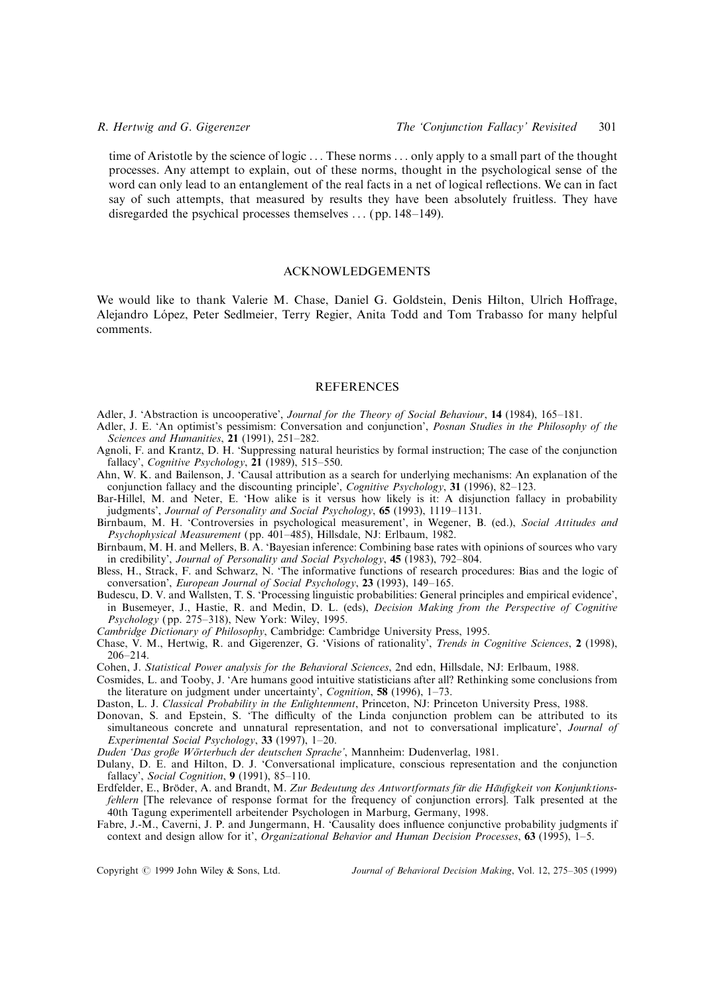time of Aristotle by the science of logic ... These norms ... only apply to a small part of the thought processes. Any attempt to explain, out of these norms, thought in the psychological sense of the word can only lead to an entanglement of the real facts in a net of logical reflections. We can in fact say of such attempts, that measured by results they have been absolutely fruitless. They have disregarded the psychical processes themselves  $\dots$  (pp. 148–149).

#### **ACKNOWLEDGEMENTS**

We would like to thank Valerie M. Chase, Daniel G. Goldstein, Denis Hilton, Ulrich Hoffrage, Alejandro López, Peter Sedlmeier, Terry Regier, Anita Todd and Tom Trabasso for many helpful comments.

#### **REFERENCES**

Adler, J. 'Abstraction is uncooperative', Journal for the Theory of Social Behaviour, 14 (1984), 165-181.

- Adler, J. E. 'An optimist's pessimism: Conversation and conjunction', Posnan Studies in the Philosophy of the Sciences and Humanities, 21 (1991), 251-282.
- Agnoli, F. and Krantz, D. H. 'Suppressing natural heuristics by formal instruction; The case of the conjunction fallacy', Cognitive Psychology, 21 (1989), 515-550.
- Ahn, W. K. and Bailenson, J. Causal attribution as a search for underlying mechanisms: An explanation of the conjunction fallacy and the discounting principle', *Cognitive Psychology*, 31 (1996), 82–123.
- Bar-Hillel, M. and Neter, E. 'How alike is it versus how likely is it: A disjunction fallacy in probability judgments', Journal of Personality and Social Psychology, 65 (1993), 1119-1131.
- Birnbaum, M. H. 'Controversies in psychological measurement', in Wegener, B. (ed.), Social Attitudes and Psychophysical Measurement (pp. 401-485), Hillsdale, NJ: Erlbaum, 1982.
- Birnbaum, M. H. and Mellers, B. A. 'Bayesian inference: Combining base rates with opinions of sources who vary in credibility', Journal of Personality and Social Psychology, 45 (1983), 792-804.
- Bless, H., Strack, F. and Schwarz, N. 'The informative functions of research procedures: Bias and the logic of conversation', European Journal of Social Psychology, 23 (1993), 149-165.
- Budescu, D. V. and Wallsten, T. S. 'Processing linguistic probabilities: General principles and empirical evidence', in Busemeyer, J., Hastie, R. and Medin, D. L. (eds), *Decision Making from the Perspective of Cognitive* Psychology (pp. 275–318), New York: Wiley, 1995.
- Cambridge Dictionary of Philosophy, Cambridge: Cambridge University Press, 1995.
- Chase, V. M., Hertwig, R. and Gigerenzer, G. 'Visions of rationality', Trends in Cognitive Sciences, 2 (1998),  $206 - 214.$
- Cohen, J. Statistical Power analysis for the Behavioral Sciences, 2nd edn, Hillsdale, NJ: Erlbaum, 1988.
- Cosmides, L. and Tooby, J. 'Are humans good intuitive statisticians after all? Rethinking some conclusions from the literature on judgment under uncertainty', *Cognition*,  $\overline{58}$  (1996), 1–73.
- Daston, L. J. Classical Probability in the Enlightenment, Princeton, NJ: Princeton University Press, 1988.
- Donovan, S. and Epstein, S. 'The difficulty of the Linda conjunction problem can be attributed to its simultaneous concrete and unnatural representation, and not to conversational implicature', Journal of Experimental Social Psychology, 33 (1997), 1-20.
- Duden 'Das große Wörterbuch der deutschen Sprache', Mannheim: Dudenverlag, 1981.
- Dulany, D. E. and Hilton, D. J. 'Conversational implicature, conscious representation and the conjunction fallacy', Social Cognition, 9 (1991), 85-110.
- Erdfelder, E., Bröder, A. and Brandt, M. Zur Bedeutung des Antwortformats für die Häufigkeit von Konjunktionsfehlern [The relevance of response format for the frequency of conjunction errors]. Talk presented at the 40th Tagung experimentell arbeitender Psychologen in Marburg, Germany, 1998.
- Fabre, J.-M., Caverni, J. P. and Jungermann, H. 'Causality does influence conjunctive probability judgments if context and design allow for it', Organizational Behavior and Human Decision Processes, 63 (1995), 1-5.

Copyright © 1999 John Wiley & Sons, Ltd.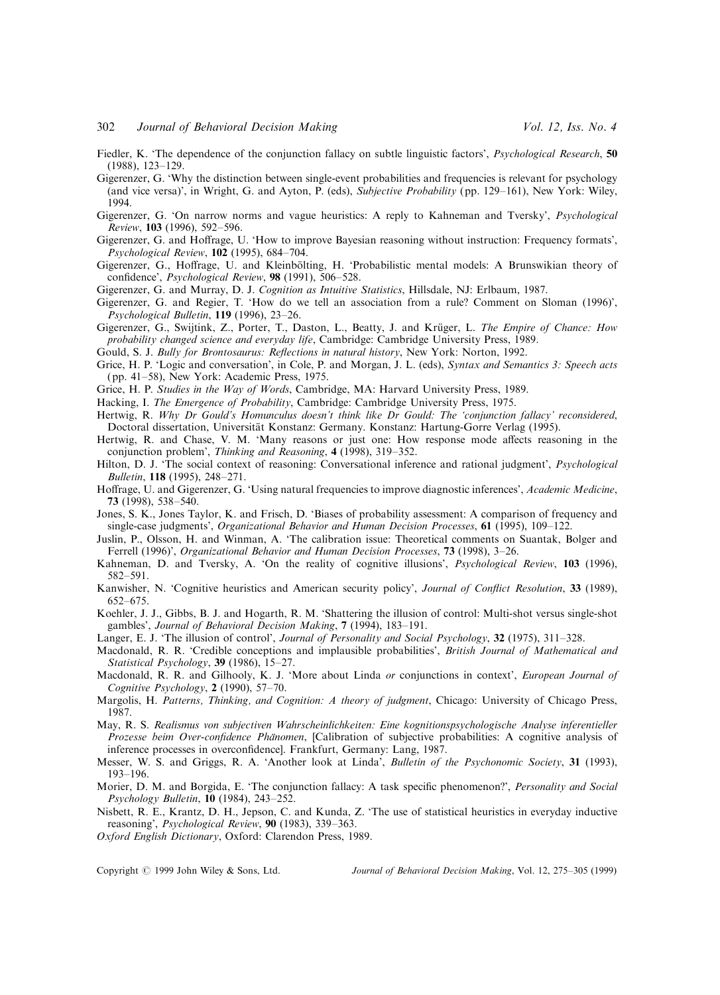- Fiedler, K. 'The dependence of the conjunction fallacy on subtle linguistic factors', *Psychological Research*, 50  $(1988), 123 - 129.$
- Gigerenzer, G. 'Why the distinction between single-event probabilities and frequencies is relevant for psychology (and vice versa)', in Wright, G. and Ayton, P. (eds), Subjective Probability (pp. 129–161), New York: Wiley, 1994.
- Gigerenzer, G. 'On narrow norms and vague heuristics: A reply to Kahneman and Tversky', *Psychological* Review, 103 (1996), 592-596.
- Gigerenzer, G. and Hoffrage, U. 'How to improve Bayesian reasoning without instruction: Frequency formats', Psychological Review, 102 (1995), 684-704.
- Gigerenzer, G., Hoffrage, U. and Kleinbölting, H. 'Probabilistic mental models: A Brunswikian theory of confidence', Psychological Review, 98 (1991), 506-528.
- Gigerenzer, G. and Murray, D. J. Cognition as Intuitive Statistics, Hillsdale, NJ: Erlbaum, 1987.
- Gigerenzer, G. and Regier, T. 'How do we tell an association from a rule? Comment on Sloman (1996)'. Psychological Bulletin, 119 (1996), 23-26.
- Gigerenzer, G., Swijtink, Z., Porter, T., Daston, L., Beatty, J. and Krüger, L. The Empire of Chance: How probability changed science and everyday life, Cambridge: Cambridge University Press, 1989.
- Gould, S. J. Bully for Brontosaurus: Reflections in natural history, New York: Norton, 1992.
- Grice, H. P. 'Logic and conversation', in Cole, P. and Morgan, J. L. (eds), Syntax and Semantics 3: Speech acts (pp. 41–58), New York: Academic Press, 1975.
- Grice, H. P. Studies in the Way of Words, Cambridge, MA: Harvard University Press, 1989.
- Hacking, I. The Emergence of Probability, Cambridge: Cambridge University Press, 1975.
- Hertwig, R. Why Dr Gould's Homunculus doesn't think like Dr Gould: The 'conjunction fallacy' reconsidered, Doctoral dissertation, Universität Konstanz: Germany. Konstanz: Hartung-Gorre Verlag (1995).
- Hertwig, R. and Chase, V. M. 'Many reasons or just one: How response mode affects reasoning in the conjunction problem', Thinking and Reasoning, 4 (1998), 319-352.
- Hilton, D. J. 'The social context of reasoning: Conversational inference and rational judgment', *Psychological* Bulletin, 118 (1995), 248-271.
- Hoffrage, U. and Gigerenzer, G. 'Using natural frequencies to improve diagnostic inferences', Academic Medicine, 73 (1998), 538-540.
- Jones, S. K., Jones Taylor, K. and Frisch, D. 'Biases of probability assessment: A comparison of frequency and single-case judgments', Organizational Behavior and Human Decision Processes, 61 (1995), 109-122.
- Juslin, P., Olsson, H. and Winman, A. 'The calibration issue: Theoretical comments on Suantak, Bolger and Ferrell (1996)', Organizational Behavior and Human Decision Processes, 73 (1998), 3-26.
- Kahneman, D. and Tversky, A. 'On the reality of cognitive illusions', *Psychological Review*, 103 (1996), 582-591.
- Kanwisher, N. 'Cognitive heuristics and American security policy', Journal of Conflict Resolution, 33 (1989),  $652 - 675.$
- Koehler, J. J., Gibbs, B. J. and Hogarth, R. M. 'Shattering the illusion of control: Multi-shot versus single-shot gambles', Journal of Behavioral Decision Making, 7 (1994), 183-191.
- Langer, E. J. 'The illusion of control', Journal of Personality and Social Psychology, 32 (1975), 311-328.
- Macdonald, R. R. 'Credible conceptions and implausible probabilities', British Journal of Mathematical and Statistical Psychology, 39 (1986), 15-27.
- Macdonald, R. R. and Gilhooly, K. J. 'More about Linda or conjunctions in context', *European Journal of* Cognitive Psychology, 2 (1990), 57-70.
- Margolis, H. Patterns, Thinking, and Cognition: A theory of judgment, Chicago: University of Chicago Press, 1987.
- May, R. S. Realismus von subjectiven Wahrscheinlichkeiten: Eine kognitionspsychologische Analyse inferentieller Prozesse beim Over-confidence Phänomen, [Calibration of subjective probabilities: A cognitive analysis of inference processes in overconfidence]. Frankfurt, Germany: Lang, 1987.
- Messer, W. S. and Griggs, R. A. 'Another look at Linda', Bulletin of the Psychonomic Society, 31 (1993),  $193 - 196.$
- Morier, D. M. and Borgida, E. 'The conjunction fallacy: A task specific phenomenon?', Personality and Social Psychology Bulletin, 10 (1984), 243-252.
- Nisbett, R. E., Krantz, D. H., Jepson, C. and Kunda, Z. 'The use of statistical heuristics in everyday inductive reasoning', Psychological Review, 90 (1983), 339-363.
- Oxford English Dictionary, Oxford: Clarendon Press, 1989.

Copyright © 1999 John Wiley & Sons, Ltd.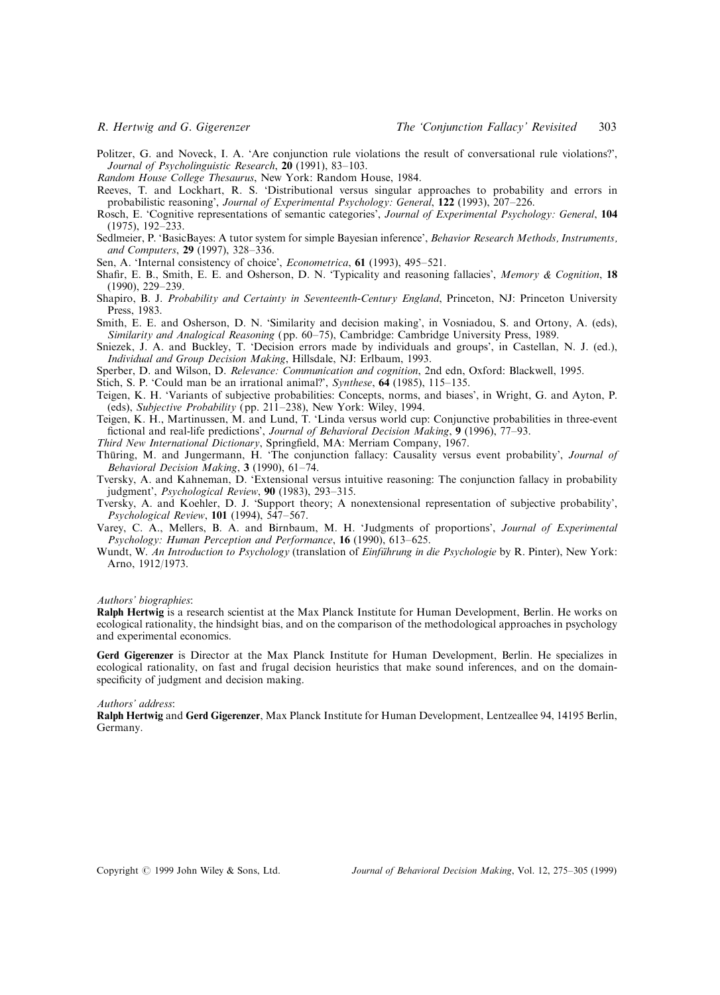Politzer, G. and Noveck, I. A. 'Are conjunction rule violations the result of conversational rule violations?', Journal of Psycholinguistic Research, 20 (1991), 83-103.

Random House College Thesaurus, New York: Random House, 1984.

Reeves, T. and Lockhart, R. S. 'Distributional versus singular approaches to probability and errors in probabilistic reasoning', Journal of Experimental Psychology: General, 122 (1993), 207-226.

- Rosch, E. 'Cognitive representations of semantic categories', Journal of Experimental Psychology: General, 104  $(1975), 192 - 233.$
- Sedlmeier, P. 'BasicBayes: A tutor system for simple Bayesian inference', Behavior Research Methods, Instruments, and Computers, 29 (1997), 328-336.

Sen, A. 'Internal consistency of choice', *Econometrica*, 61 (1993), 495–521.

- Shafir, E. B., Smith, E. E. and Osherson, D. N. 'Typicality and reasoning fallacies', Memory & Cognition, 18  $(1990), 229 - 239.$
- Shapiro, B. J. Probability and Certainty in Seventeenth-Century England, Princeton, NJ: Princeton University Press, 1983.
- Smith, E. E. and Osherson, D. N. 'Similarity and decision making', in Vosniadou, S. and Ortony, A. (eds), Similarity and Analogical Reasoning (pp. 60-75), Cambridge: Cambridge University Press, 1989.

Sniezek, J. A. and Buckley, T. 'Decision errors made by individuals and groups', in Castellan, N. J. (ed.), Individual and Group Decision Making, Hillsdale, NJ: Erlbaum, 1993.

Sperber, D. and Wilson, D. Relevance: Communication and cognition, 2nd edn, Oxford: Blackwell, 1995.

Stich, S. P. 'Could man be an irrational animal?', Synthese, 64 (1985), 115-135.

Teigen, K. H. 'Variants of subjective probabilities: Concepts, norms, and biases', in Wright, G. and Ayton, P. (eds), Subjective Probability (pp. 211-238), New York: Wiley, 1994.

Teigen, K. H., Martinussen, M. and Lund, T. 'Linda versus world cup: Conjunctive probabilities in three-event fictional and real-life predictions', Journal of Behavioral Decision Making, 9 (1996), 77-93.

- Third New International Dictionary, Springfield, MA: Merriam Company, 1967.
- Thüring, M. and Jungermann, H. 'The conjunction fallacy: Causality versus event probability', Journal of Behavioral Decision Making, 3 (1990), 61-74.
- Tversky, A. and Kahneman, D. 'Extensional versus intuitive reasoning: The conjunction fallacy in probability judgment', Psychological Review, 90 (1983), 293-315.
- Tversky, A. and Koehler, D. J. 'Support theory; A nonextensional representation of subjective probability', Psychological Review, 101 (1994), 547-567.
- Varey, C. A., Mellers, B. A. and Birnbaum, M. H. 'Judgments of proportions', Journal of Experimental Psychology: Human Perception and Performance, 16 (1990), 613–625.
- Wundt, W. An Introduction to Psychology (translation of Einführung in die Psychologie by R. Pinter), New York: Arno, 1912/1973.

#### Authors' biographies:

Ralph Hertwig is a research scientist at the Max Planck Institute for Human Development, Berlin. He works on ecological rationality, the hindsight bias, and on the comparison of the methodological approaches in psychology and experimental economics.

Gerd Gigerenzer is Director at the Max Planck Institute for Human Development, Berlin. He specializes in ecological rationality, on fast and frugal decision heuristics that make sound inferences, and on the domainspecificity of judgment and decision making.

#### Authors' address:

Ralph Hertwig and Gerd Gigerenzer, Max Planck Institute for Human Development, Lentzeallee 94, 14195 Berlin, Germany.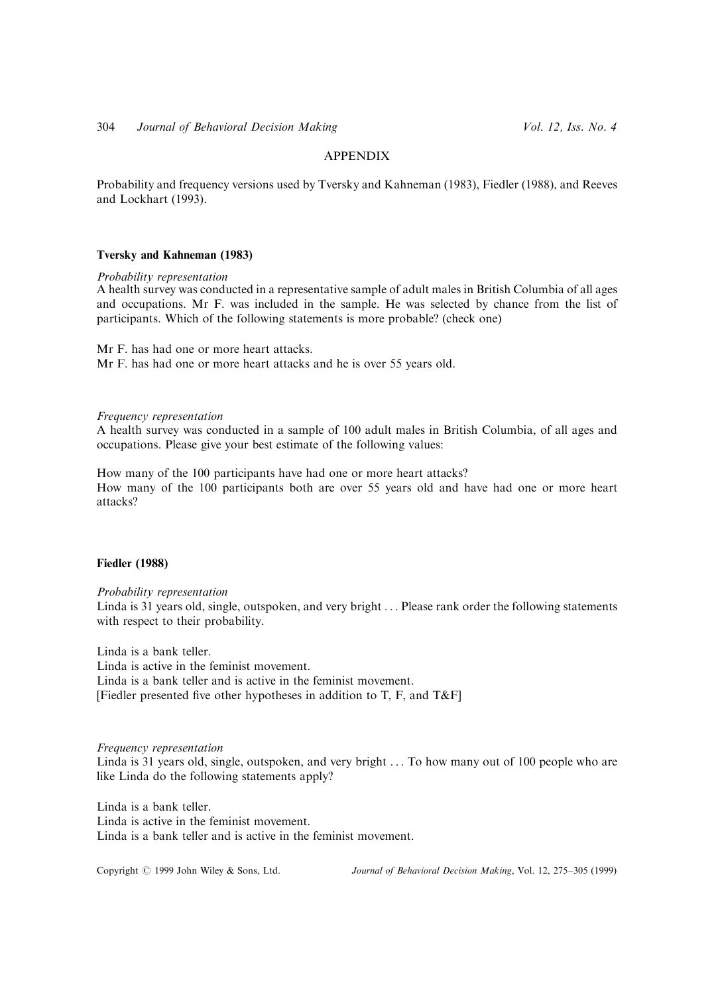# **APPENDIX**

Probability and frequency versions used by Tversky and Kahneman (1983), Fiedler (1988), and Reeves and Lockhart (1993).

# Tversky and Kahneman (1983)

Probability representation

A health survey was conducted in a representative sample of adult males in British Columbia of all ages and occupations. Mr F. was included in the sample. He was selected by chance from the list of participants. Which of the following statements is more probable? (check one)

Mr F, has had one or more heart attacks.

Mr F. has had one or more heart attacks and he is over 55 years old.

#### Frequency representation

A health survey was conducted in a sample of 100 adult males in British Columbia, of all ages and occupations. Please give your best estimate of the following values:

How many of the 100 participants have had one or more heart attacks? How many of the 100 participants both are over 55 years old and have had one or more heart attacks?

# **Fiedler** (1988)

Probability representation Linda is 31 years old, single, outspoken, and very bright ... Please rank order the following statements with respect to their probability.

Linda is a bank teller. Linda is active in the feminist movement. Linda is a bank teller and is active in the feminist movement. [Fiedler presented five other hypotheses in addition to T, F, and T&F]

Frequency representation

Linda is 31 years old, single, outspoken, and very bright ... To how many out of 100 people who are like Linda do the following statements apply?

Linda is a bank teller. Linda is active in the feminist movement. Linda is a bank teller and is active in the feminist movement.

Copyright © 1999 John Wiley & Sons, Ltd.